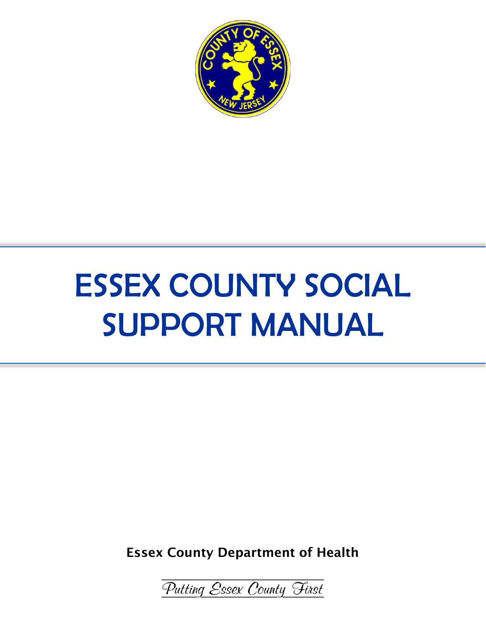

# ESSEX COUNTY SOCIAL SUPPORT MANUAL

Essex County Department of Health

Putting Essex County Finst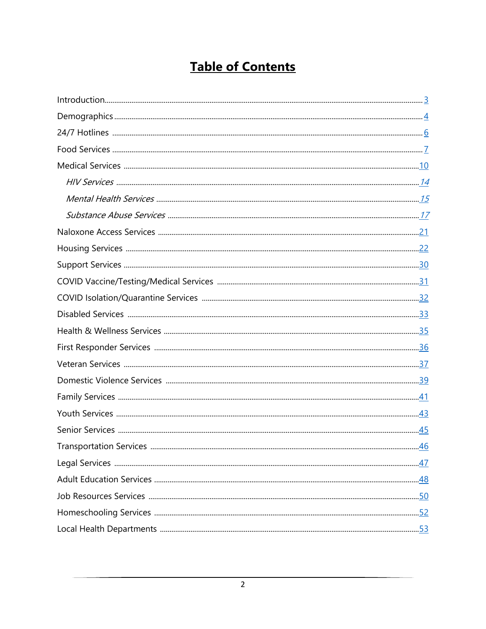# **Table of Contents**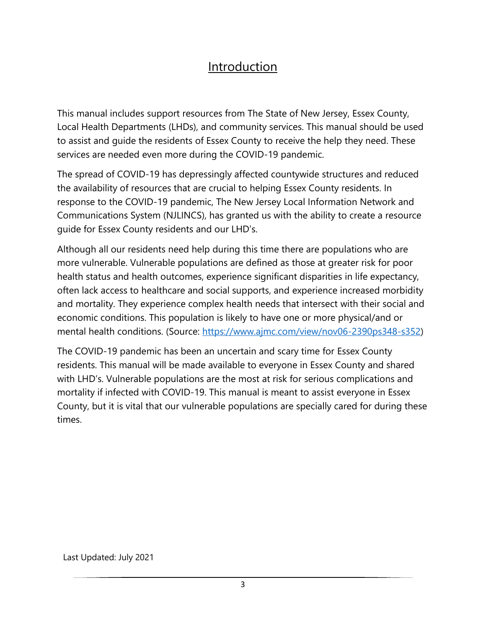### Introduction

This manual includes support resources from The State of New Jersey, Essex County, Local Health Departments (LHDs), and community services. This manual should be used to assist and guide the residents of Essex County to receive the help they need. These services are needed even more during the COVID-19 pandemic.

The spread of COVID-19 has depressingly affected countywide structures and reduced the availability of resources that are crucial to helping Essex County residents. In response to the COVID-19 pandemic, The New Jersey Local Information Network and Communications System (NJLINCS), has granted us with the ability to create a resource guide for Essex County residents and our LHD's.

Although all our residents need help during this time there are populations who are more vulnerable. Vulnerable populations are defined as those at greater risk for poor health status and health outcomes, experience significant disparities in life expectancy, often lack access to healthcare and social supports, and experience increased morbidity and mortality. They experience complex health needs that intersect with their social and economic conditions. This population is likely to have one or more physical/and or mental health conditions. (Source: https://www.ajmc.com/view/nov06-2390ps348-s352)

The COVID-19 pandemic has been an uncertain and scary time for Essex County residents. This manual will be made available to everyone in Essex County and shared with LHD's. Vulnerable populations are the most at risk for serious complications and mortality if infected with COVID-19. This manual is meant to assist everyone in Essex County, but it is vital that our vulnerable populations are specially cared for during these times.

Last Updated: July 2021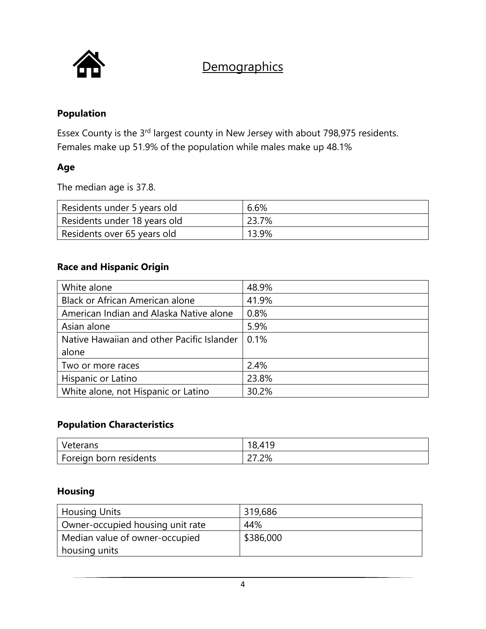

### **Demographics**

#### **Population**

Essex County is the 3rd largest county in New Jersey with about 798,975 residents. Females make up 51.9% of the population while males make up 48.1%

#### **Age**

The median age is 37.8.

| Residents under 5 years old  | 6.6%  |
|------------------------------|-------|
| Residents under 18 years old | 23.7% |
| Residents over 65 years old  | 13.9% |

#### **Race and Hispanic Origin**

| White alone                                | 48.9% |
|--------------------------------------------|-------|
| Black or African American alone            | 41.9% |
| American Indian and Alaska Native alone    | 0.8%  |
| Asian alone                                | 5.9%  |
| Native Hawaiian and other Pacific Islander | 0.1%  |
| alone                                      |       |
| Two or more races                          | 2.4%  |
| Hispanic or Latino                         | 23.8% |
| White alone, not Hispanic or Latino        | 30.2% |

#### **Population Characteristics**

| Veterans               | 18,41 |
|------------------------|-------|
| Foreign born residents | 27.2% |

### **Housing**

| <b>Housing Units</b>             | 319,686   |
|----------------------------------|-----------|
| Owner-occupied housing unit rate | 44%       |
| Median value of owner-occupied   | \$386,000 |
| housing units                    |           |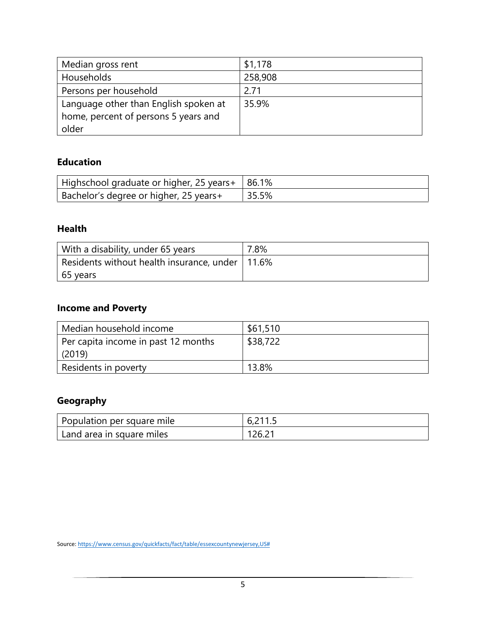| Median gross rent                     | \$1,178 |
|---------------------------------------|---------|
| Households                            | 258,908 |
| Persons per household                 | 2 71    |
| Language other than English spoken at | 35.9%   |
| home, percent of persons 5 years and  |         |
| older                                 |         |

### **Education**

| Highschool graduate or higher, 25 years+ 186.1% |       |
|-------------------------------------------------|-------|
| Bachelor's degree or higher, 25 years+          | 35.5% |

#### **Health**

| With a disability, under 65 years                 | 7.8% |
|---------------------------------------------------|------|
| Residents without health insurance, under   11.6% |      |
| 65 years                                          |      |

### **Income and Poverty**

| Median household income             | \$61,510 |
|-------------------------------------|----------|
| Per capita income in past 12 months | \$38,722 |
| (2019)                              |          |
| Residents in poverty                | 13.8%    |

### **Geography**

| Population per square mile | 6,211.5 |
|----------------------------|---------|
| 'Land area in square miles | 126.21  |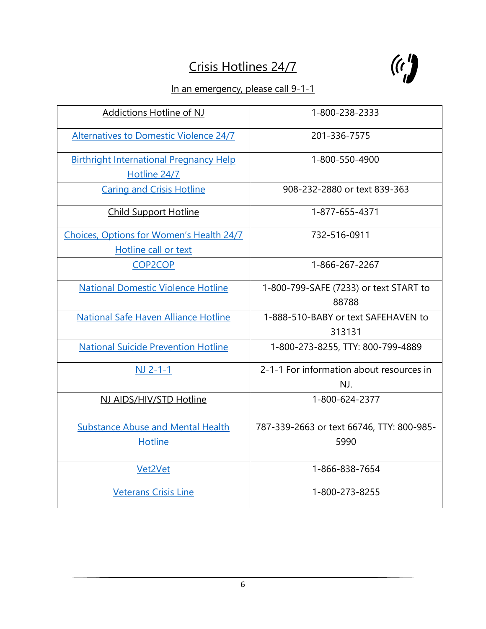# Crisis Hotlines 24/7



### In an emergency, please call 9-1-1

| Addictions Hotline of NJ                       | 1-800-238-2333                            |
|------------------------------------------------|-------------------------------------------|
| <b>Alternatives to Domestic Violence 24/7</b>  | 201-336-7575                              |
| <b>Birthright International Pregnancy Help</b> | 1-800-550-4900                            |
| Hotline 24/7                                   |                                           |
| <b>Caring and Crisis Hotline</b>               | 908-232-2880 or text 839-363              |
| <b>Child Support Hotline</b>                   | 1-877-655-4371                            |
| Choices, Options for Women's Health 24/7       | 732-516-0911                              |
| Hotline call or text                           |                                           |
| <b>COP2COP</b>                                 | 1-866-267-2267                            |
| <b>National Domestic Violence Hotline</b>      | 1-800-799-SAFE (7233) or text START to    |
|                                                | 88788                                     |
| National Safe Haven Alliance Hotline           | 1-888-510-BABY or text SAFEHAVEN to       |
|                                                | 313131                                    |
| <b>National Suicide Prevention Hotline</b>     | 1-800-273-8255, TTY: 800-799-4889         |
| $NJ 2-1-1$                                     | 2-1-1 For information about resources in  |
|                                                | NJ.                                       |
| NJ AIDS/HIV/STD Hotline                        | 1-800-624-2377                            |
| <b>Substance Abuse and Mental Health</b>       | 787-339-2663 or text 66746, TTY: 800-985- |
| <b>Hotline</b>                                 | 5990                                      |
| Vet2Vet                                        | 1-866-838-7654                            |
| <b>Veterans Crisis Line</b>                    | 1-800-273-8255                            |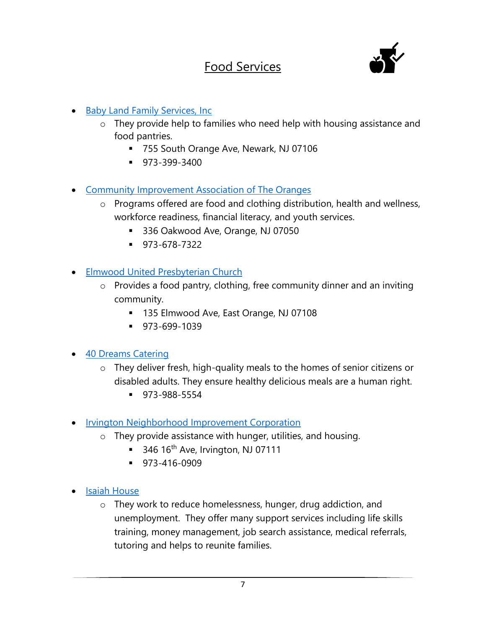### Food Services



- Baby Land Family Services, Inc
	- o They provide help to families who need help with housing assistance and food pantries.
		- 755 South Orange Ave, Newark, NJ 07106
		- 973-399-3400
- Community Improvement Association of The Oranges
	- o Programs offered are food and clothing distribution, health and wellness, workforce readiness, financial literacy, and youth services.
		- 336 Oakwood Ave, Orange, NJ 07050
		- 973-678-7322
- Elmwood United Presbyterian Church
	- o Provides a food pantry, clothing, free community dinner and an inviting community.
		- 135 Elmwood Ave, East Orange, NJ 07108
		- 973-699-1039
- 40 Dreams Catering
	- o They deliver fresh, high-quality meals to the homes of senior citizens or disabled adults. They ensure healthy delicious meals are a human right.
		- 973-988-5554
- Irvington Neighborhood Improvement Corporation
	- o They provide assistance with hunger, utilities, and housing.
		- $\blacksquare$  346 16<sup>th</sup> Ave, Irvington, NJ 07111
		- 973-416-0909
- Isaiah House
	- o They work to reduce homelessness, hunger, drug addiction, and unemployment. They offer many support services including life skills training, money management, job search assistance, medical referrals, tutoring and helps to reunite families.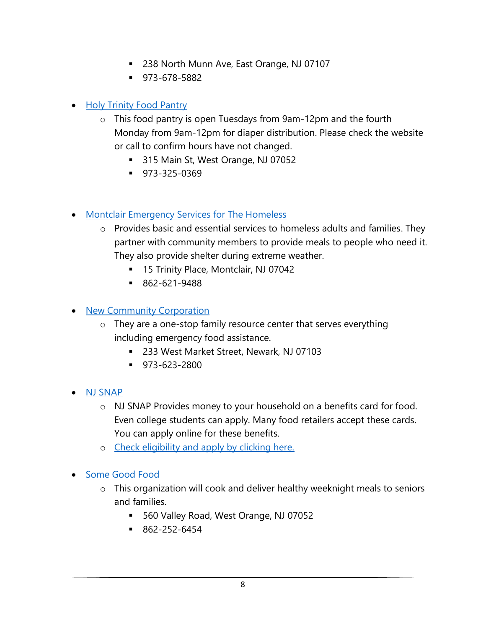- 238 North Munn Ave, East Orange, NJ 07107
- 973-678-5882

### • Holy Trinity Food Pantry

- o This food pantry is open Tuesdays from 9am-12pm and the fourth Monday from 9am-12pm for diaper distribution. Please check the website or call to confirm hours have not changed.
	- 315 Main St, West Orange, NJ 07052
	- 973-325-0369
- Montclair Emergency Services for The Homeless
	- o Provides basic and essential services to homeless adults and families. They partner with community members to provide meals to people who need it. They also provide shelter during extreme weather.
		- 15 Trinity Place, Montclair, NJ 07042
		- 862-621-9488

### • New Community Corporation

- o They are a one-stop family resource center that serves everything including emergency food assistance.
	- 233 West Market Street, Newark, NJ 07103
	- 973-623-2800
- NJ SNAP
	- o NJ SNAP Provides money to your household on a benefits card for food. Even college students can apply. Many food retailers accept these cards. You can apply online for these benefits.
	- o Check eligibility and apply by clicking here.
- Some Good Food
	- o This organization will cook and deliver healthy weeknight meals to seniors and families.
		- 560 Valley Road, West Orange, NJ 07052
		- 862-252-6454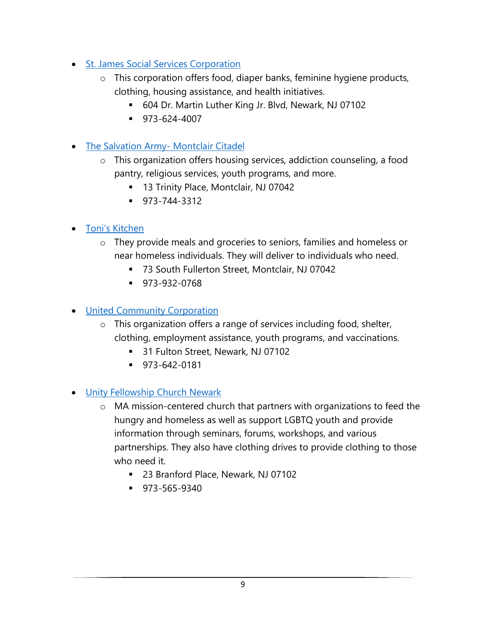- St. James Social Services Corporation
	- o This corporation offers food, diaper banks, feminine hygiene products, clothing, housing assistance, and health initiatives.
		- 604 Dr. Martin Luther King Jr. Blvd, Newark, NJ 07102
		- 973-624-4007
- The Salvation Army- Montclair Citadel
	- o This organization offers housing services, addiction counseling, a food pantry, religious services, youth programs, and more.
		- 13 Trinity Place, Montclair, NJ 07042
		- 973-744-3312
- Toni's Kitchen
	- o They provide meals and groceries to seniors, families and homeless or near homeless individuals. They will deliver to individuals who need.
		- 73 South Fullerton Street, Montclair, NJ 07042
		- 973-932-0768
- United Community Corporation
	- o This organization offers a range of services including food, shelter, clothing, employment assistance, youth programs, and vaccinations.
		- 31 Fulton Street, Newark, NJ 07102
		- 973-642-0181
- Unity Fellowship Church Newark
	- o MA mission-centered church that partners with organizations to feed the hungry and homeless as well as support LGBTQ youth and provide information through seminars, forums, workshops, and various partnerships. They also have clothing drives to provide clothing to those who need it.
		- 23 Branford Place, Newark, NJ 07102
		- 973-565-9340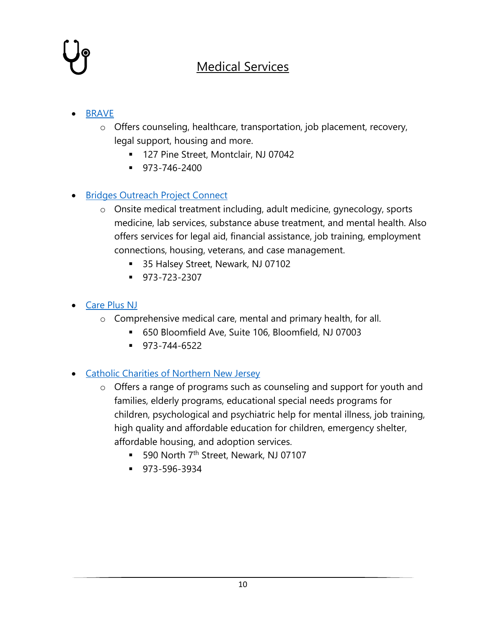### Medical Services

### • BRAVE

- o Offers counseling, healthcare, transportation, job placement, recovery, legal support, housing and more.
	- 127 Pine Street, Montclair, NJ 07042
	- 973-746-2400

### • Bridges Outreach Project Connect

- o Onsite medical treatment including, adult medicine, gynecology, sports medicine, lab services, substance abuse treatment, and mental health. Also offers services for legal aid, financial assistance, job training, employment connections, housing, veterans, and case management.
	- 35 Halsey Street, Newark, NJ 07102
	- 973-723-2307
- Care Plus NJ
	- o Comprehensive medical care, mental and primary health, for all.
		- 650 Bloomfield Ave, Suite 106, Bloomfield, NJ 07003
		- 973-744-6522

### • Catholic Charities of Northern New Jersey

- o Offers a range of programs such as counseling and support for youth and families, elderly programs, educational special needs programs for children, psychological and psychiatric help for mental illness, job training, high quality and affordable education for children, emergency shelter, affordable housing, and adoption services.
	- 590 North 7<sup>th</sup> Street, Newark, NJ 07107
	- 973-596-3934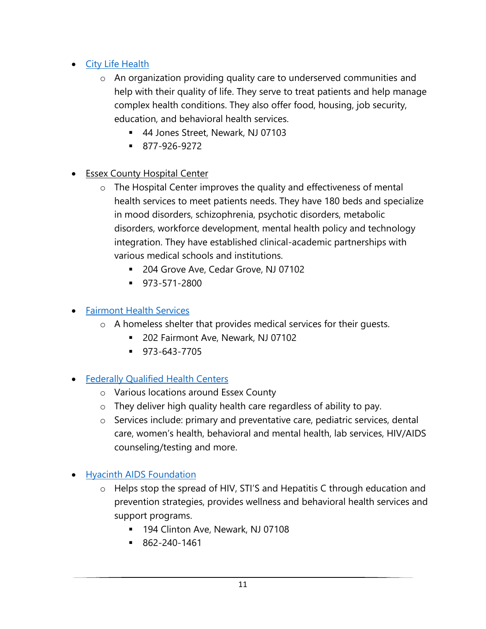- City Life Health
	- o An organization providing quality care to underserved communities and help with their quality of life. They serve to treat patients and help manage complex health conditions. They also offer food, housing, job security, education, and behavioral health services.
		- 44 Jones Street, Newark, NJ 07103
		- 877-926-9272
- Essex County Hospital Center
	- o The Hospital Center improves the quality and effectiveness of mental health services to meet patients needs. They have 180 beds and specialize in mood disorders, schizophrenia, psychotic disorders, metabolic disorders, workforce development, mental health policy and technology integration. They have established clinical-academic partnerships with various medical schools and institutions.
		- 204 Grove Ave, Cedar Grove, NJ 07102
		- 973-571-2800

### • Fairmont Health Services

- o A homeless shelter that provides medical services for their guests.
	- 202 Fairmont Ave, Newark, NJ 07102
	- 973-643-7705

### • Federally Qualified Health Centers

- o Various locations around Essex County
- o They deliver high quality health care regardless of ability to pay.
- o Services include: primary and preventative care, pediatric services, dental care, women's health, behavioral and mental health, lab services, HIV/AIDS counseling/testing and more.
- Hyacinth AIDS Foundation
	- o Helps stop the spread of HIV, STI'S and Hepatitis C through education and prevention strategies, provides wellness and behavioral health services and support programs.
		- 194 Clinton Ave, Newark, NJ 07108
		- $-862 240 1461$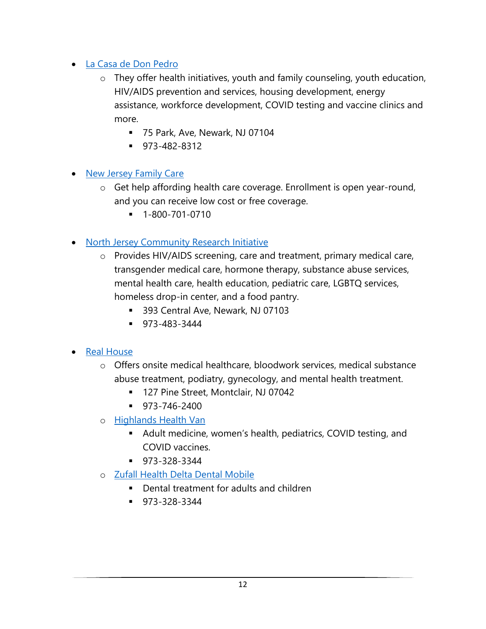- La Casa de Don Pedro
	- o They offer health initiatives, youth and family counseling, youth education, HIV/AIDS prevention and services, housing development, energy assistance, workforce development, COVID testing and vaccine clinics and more.
		- 75 Park, Ave, Newark, NJ 07104
		- 973-482-8312
- New Jersey Family Care
	- o Get help affording health care coverage. Enrollment is open year-round, and you can receive low cost or free coverage.
		- 1-800-701-0710
- North Jersey Community Research Initiative
	- o Provides HIV/AIDS screening, care and treatment, primary medical care, transgender medical care, hormone therapy, substance abuse services, mental health care, health education, pediatric care, LGBTQ services, homeless drop-in center, and a food pantry.
		- 393 Central Ave, Newark, NJ 07103
		- 973-483-3444
- Real House
	- o Offers onsite medical healthcare, bloodwork services, medical substance abuse treatment, podiatry, gynecology, and mental health treatment.
		- 127 Pine Street, Montclair, NJ 07042
		- $973 746 2400$
	- o Highlands Health Van
		- Adult medicine, women's health, pediatrics, COVID testing, and COVID vaccines.
		- 973-328-3344
	- o Zufall Health Delta Dental Mobile
		- Dental treatment for adults and children
		- 973-328-3344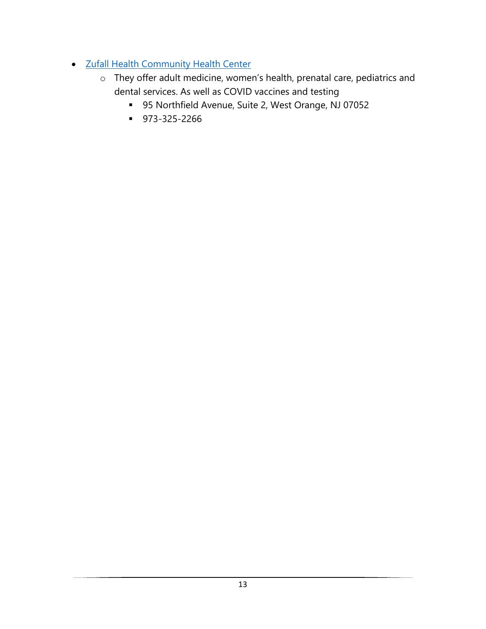- Zufall Health Community Health Center
	- o They offer adult medicine, women's health, prenatal care, pediatrics and dental services. As well as COVID vaccines and testing
		- 95 Northfield Avenue, Suite 2, West Orange, NJ 07052
		- 973-325-2266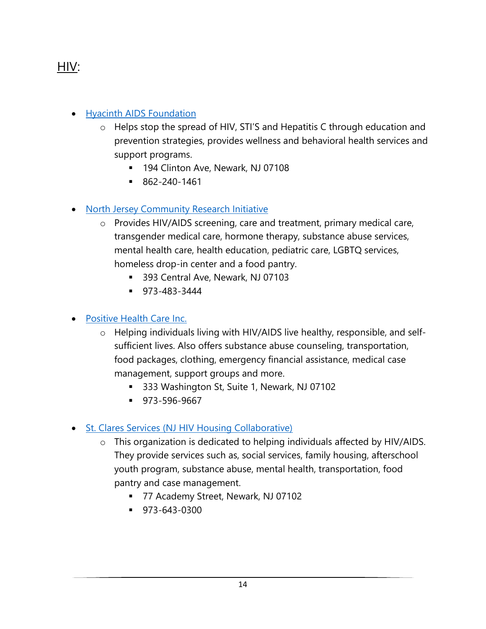### HIV:

### • Hyacinth AIDS Foundation

- o Helps stop the spread of HIV, STI'S and Hepatitis C through education and prevention strategies, provides wellness and behavioral health services and support programs.
	- 194 Clinton Ave, Newark, NJ 07108
	- 862-240-1461

### • North Jersey Community Research Initiative

- o Provides HIV/AIDS screening, care and treatment, primary medical care, transgender medical care, hormone therapy, substance abuse services, mental health care, health education, pediatric care, LGBTQ services, homeless drop-in center and a food pantry.
	- 393 Central Ave, Newark, NJ 07103
	- 973-483-3444

#### • Positive Health Care Inc.

- o Helping individuals living with HIV/AIDS live healthy, responsible, and selfsufficient lives. Also offers substance abuse counseling, transportation, food packages, clothing, emergency financial assistance, medical case management, support groups and more.
	- 333 Washington St, Suite 1, Newark, NJ 07102
	- 973-596-9667

### • St. Clares Services (NJ HIV Housing Collaborative)

- o This organization is dedicated to helping individuals affected by HIV/AIDS. They provide services such as, social services, family housing, afterschool youth program, substance abuse, mental health, transportation, food pantry and case management.
	- 77 Academy Street, Newark, NJ 07102
	- $\bullet$  973-643-0300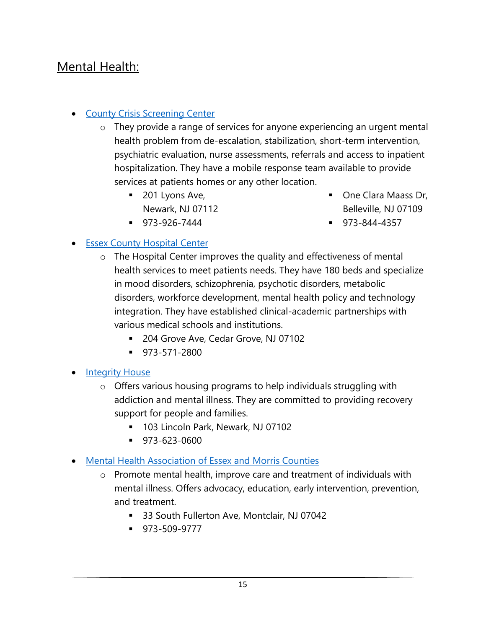### Mental Health:

### • County Crisis Screening Center

- o They provide a range of services for anyone experiencing an urgent mental health problem from de-escalation, stabilization, short-term intervention, psychiatric evaluation, nurse assessments, referrals and access to inpatient hospitalization. They have a mobile response team available to provide services at patients homes or any other location.
	- 201 Lyons Ave, Newark, NJ 07112

■ One Clara Maass Dr, Belleville, NJ 07109

▪ 973-926-7444

▪ 973-844-4357

### • Essex County Hospital Center

- o The Hospital Center improves the quality and effectiveness of mental health services to meet patients needs. They have 180 beds and specialize in mood disorders, schizophrenia, psychotic disorders, metabolic disorders, workforce development, mental health policy and technology integration. They have established clinical-academic partnerships with various medical schools and institutions.
	- 204 Grove Ave, Cedar Grove, NJ 07102
	- 973-571-2800
- **Integrity House** 
	- o Offers various housing programs to help individuals struggling with addiction and mental illness. They are committed to providing recovery support for people and families.
		- 103 Lincoln Park, Newark, NJ 07102
		- 973-623-0600
- Mental Health Association of Essex and Morris Counties
	- o Promote mental health, improve care and treatment of individuals with mental illness. Offers advocacy, education, early intervention, prevention, and treatment.
		- 33 South Fullerton Ave, Montclair, NJ 07042
		- 973-509-9777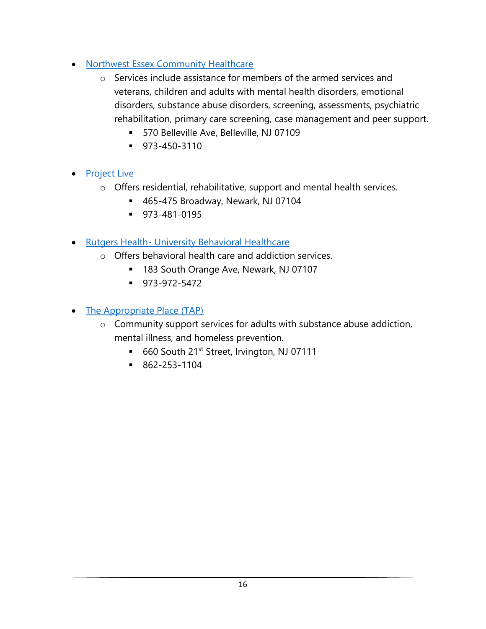- Northwest Essex Community Healthcare
	- o Services include assistance for members of the armed services and veterans, children and adults with mental health disorders, emotional disorders, substance abuse disorders, screening, assessments, psychiatric rehabilitation, primary care screening, case management and peer support.
		- 570 Belleville Ave, Belleville, NJ 07109
		- 973-450-3110
- Project Live
	- o Offers residential, rehabilitative, support and mental health services.
		- 465-475 Broadway, Newark, NJ 07104
		- 973-481-0195
- Rutgers Health- University Behavioral Healthcare
	- o Offers behavioral health care and addiction services.
		- 183 South Orange Ave, Newark, NJ 07107
		- 973-972-5472
- The Appropriate Place (TAP)
	- o Community support services for adults with substance abuse addiction, mental illness, and homeless prevention.
		- 660 South 21<sup>st</sup> Street, Irvington, NJ 07111
		- 862-253-1104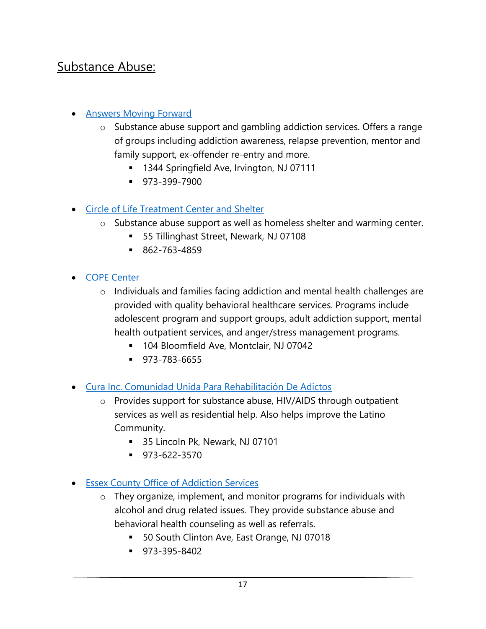### Substance Abuse:

### • Answers Moving Forward

- Substance abuse support and gambling addiction services. Offers a range of groups including addiction awareness, relapse prevention, mentor and family support, ex-offender re-entry and more.
	- 1344 Springfield Ave, Irvington, NJ 07111
	- **•** 973-399-7900
- Circle of Life Treatment Center and Shelter
	- o Substance abuse support as well as homeless shelter and warming center.
		- 55 Tillinghast Street, Newark, NJ 07108
		- 862-763-4859
- COPE Center
	- o Individuals and families facing addiction and mental health challenges are provided with quality behavioral healthcare services. Programs include adolescent program and support groups, adult addiction support, mental health outpatient services, and anger/stress management programs.
		- 104 Bloomfield Ave, Montclair, NJ 07042
		- 973-783-6655
- Cura Inc. Comunidad Unida Para Rehabilitación De Adictos
	- o Provides support for substance abuse, HIV/AIDS through outpatient services as well as residential help. Also helps improve the Latino Community.
		- 35 Lincoln Pk, Newark, NJ 07101
		- $973-622-3570$
- Essex County Office of Addiction Services
	- o They organize, implement, and monitor programs for individuals with alcohol and drug related issues. They provide substance abuse and behavioral health counseling as well as referrals.
		- 50 South Clinton Ave, East Orange, NJ 07018
		- 973-395-8402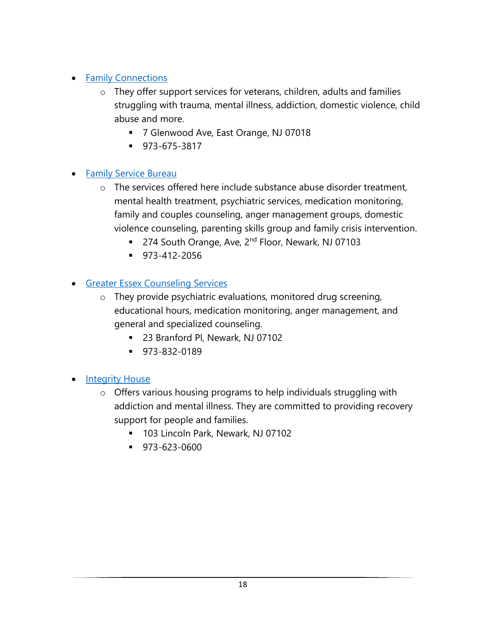### • Family Connections

- o They offer support services for veterans, children, adults and families struggling with trauma, mental illness, addiction, domestic violence, child abuse and more.
	- 7 Glenwood Ave, East Orange, NJ 07018
	- 973-675-3817

### • Family Service Bureau

- o The services offered here include substance abuse disorder treatment, mental health treatment, psychiatric services, medication monitoring, family and couples counseling, anger management groups, domestic violence counseling, parenting skills group and family crisis intervention.
	- 274 South Orange, Ave, 2<sup>nd</sup> Floor, Newark, NJ 07103
	- 973-412-2056

### • Greater Essex Counseling Services

- o They provide psychiatric evaluations, monitored drug screening, educational hours, medication monitoring, anger management, and general and specialized counseling.
	- 23 Branford Pl, Newark, NJ 07102
	- 973-832-0189

#### **Integrity House**

- o Offers various housing programs to help individuals struggling with addiction and mental illness. They are committed to providing recovery support for people and families.
	- 103 Lincoln Park, Newark, NJ 07102
	- 973-623-0600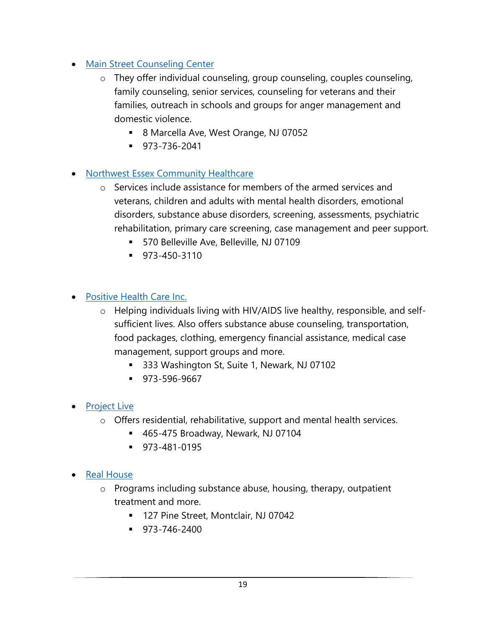- Main Street Counseling Center
	- o They offer individual counseling, group counseling, couples counseling, family counseling, senior services, counseling for veterans and their families, outreach in schools and groups for anger management and domestic violence.
		- 8 Marcella Ave, West Orange, NJ 07052
		- 973-736-2041

### • Northwest Essex Community Healthcare

- o Services include assistance for members of the armed services and veterans, children and adults with mental health disorders, emotional disorders, substance abuse disorders, screening, assessments, psychiatric rehabilitation, primary care screening, case management and peer support.
	- 570 Belleville Ave, Belleville, NJ 07109
	- 973-450-3110

#### • Positive Health Care Inc.

- o Helping individuals living with HIV/AIDS live healthy, responsible, and selfsufficient lives. Also offers substance abuse counseling, transportation, food packages, clothing, emergency financial assistance, medical case management, support groups and more.
	- 333 Washington St, Suite 1, Newark, NJ 07102
	- 973-596-9667
- Project Live
	- o Offers residential, rehabilitative, support and mental health services.
		- 465-475 Broadway, Newark, NJ 07104
		- 973-481-0195
- Real House
	- o Programs including substance abuse, housing, therapy, outpatient treatment and more.
		- 127 Pine Street, Montclair, NJ 07042
		- $973 746 2400$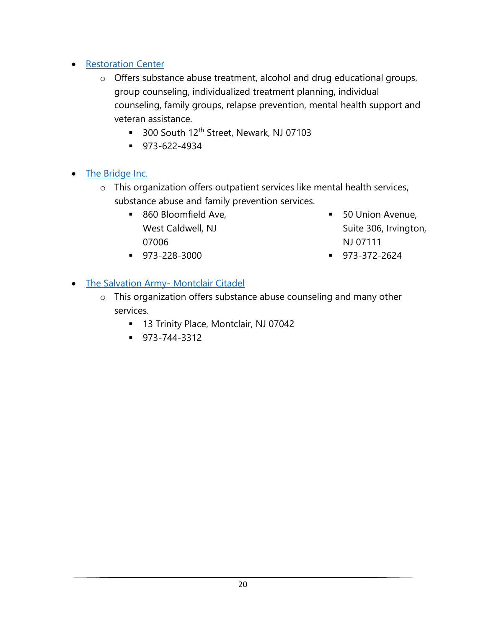- Restoration Center
	- o Offers substance abuse treatment, alcohol and drug educational groups, group counseling, individualized treatment planning, individual counseling, family groups, relapse prevention, mental health support and veteran assistance.
		- 300 South 12<sup>th</sup> Street, Newark, NJ 07103
		- 973-622-4934

### • The Bridge Inc.

- o This organization offers outpatient services like mental health services, substance abuse and family prevention services.
	- 860 Bloomfield Ave, West Caldwell, NJ 07006

■ 50 Union Avenue, Suite 306, Irvington, NJ 07111

▪ 973-228-3000

▪ 973-372-2624

• The Salvation Army- Montclair Citadel

- o This organization offers substance abuse counseling and many other services.
	- 13 Trinity Place, Montclair, NJ 07042
	- 973-744-3312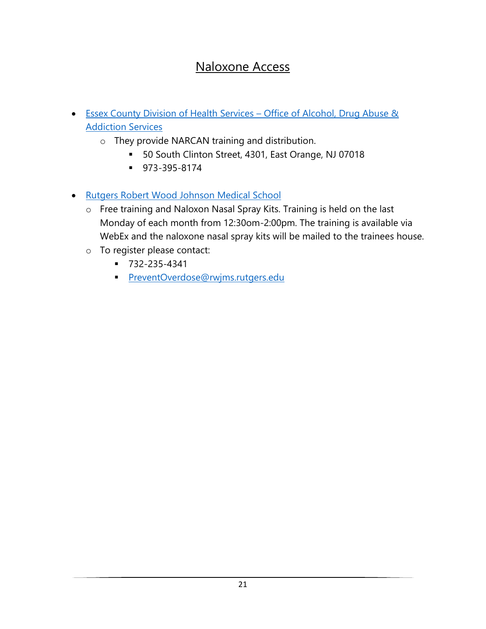### Naloxone Access

- Essex County Division of Health Services Office of Alcohol, Drug Abuse & **Addiction Services** 
	- o They provide NARCAN training and distribution.
		- 50 South Clinton Street, 4301, East Orange, NJ 07018
		- 973-395-8174
- Rutgers Robert Wood Johnson Medical School
	- o Free training and Naloxon Nasal Spray Kits. Training is held on the last Monday of each month from 12:30om-2:00pm. The training is available via WebEx and the naloxone nasal spray kits will be mailed to the trainees house.
	- o To register please contact:
		- 732-235-4341
		- **PreventOverdose@rwjms.rutgers.edu**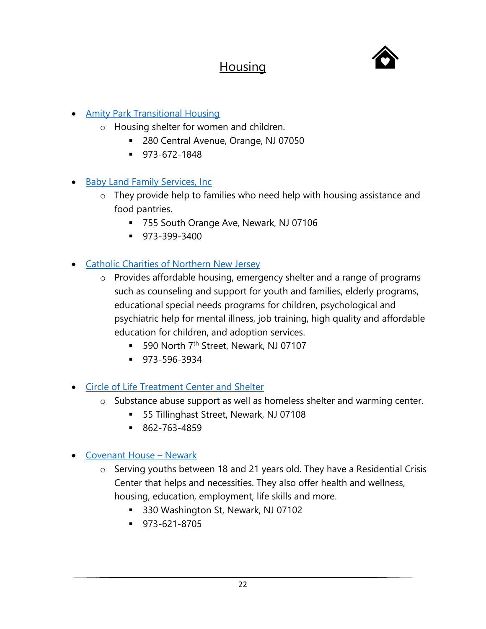### **Housing**



- Amity Park Transitional Housing
	- o Housing shelter for women and children.
		- 280 Central Avenue, Orange, NJ 07050
		- 973-672-1848
- Baby Land Family Services, Inc
	- o They provide help to families who need help with housing assistance and food pantries.
		- 755 South Orange Ave, Newark, NJ 07106
		- 973-399-3400
- Catholic Charities of Northern New Jersey
	- o Provides affordable housing, emergency shelter and a range of programs such as counseling and support for youth and families, elderly programs, educational special needs programs for children, psychological and psychiatric help for mental illness, job training, high quality and affordable education for children, and adoption services.
		- 590 North 7<sup>th</sup> Street, Newark, NJ 07107
		- 973-596-3934
- Circle of Life Treatment Center and Shelter
	- o Substance abuse support as well as homeless shelter and warming center.
		- 55 Tillinghast Street, Newark, NJ 07108
		- 862-763-4859
- Covenant House Newark
	- o Serving youths between 18 and 21 years old. They have a Residential Crisis Center that helps and necessities. They also offer health and wellness, housing, education, employment, life skills and more.
		- 330 Washington St, Newark, NJ 07102
		- 973-621-8705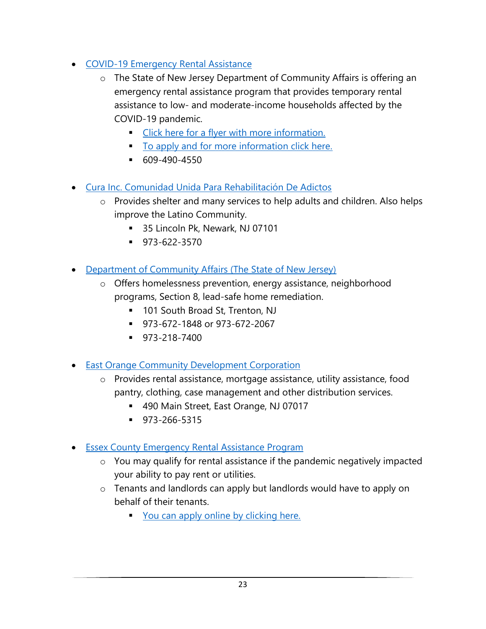- COVID-19 Emergency Rental Assistance
	- o The State of New Jersey Department of Community Affairs is offering an emergency rental assistance program that provides temporary rental assistance to low- and moderate-income households affected by the COVID-19 pandemic.
		- **Example 1** Click here for a flyer with more information.
		- To apply and for more information click here.
		- $609-490-4550$
- Cura Inc. Comunidad Unida Para Rehabilitación De Adictos
	- o Provides shelter and many services to help adults and children. Also helps improve the Latino Community.
		- 35 Lincoln Pk, Newark, NJ 07101
		- 973-622-3570
- Department of Community Affairs (The State of New Jersey)
	- o Offers homelessness prevention, energy assistance, neighborhood programs, Section 8, lead-safe home remediation.
		- 101 South Broad St, Trenton, NJ
		- 973-672-1848 or 973-672-2067
		- **973-218-7400**
- East Orange Community Development Corporation
	- o Provides rental assistance, mortgage assistance, utility assistance, food pantry, clothing, case management and other distribution services.
		- 490 Main Street, East Orange, NJ 07017
		- 973-266-5315
- Essex County Emergency Rental Assistance Program
	- o You may qualify for rental assistance if the pandemic negatively impacted your ability to pay rent or utilities.
	- o Tenants and landlords can apply but landlords would have to apply on behalf of their tenants.
		- You can apply online by clicking here.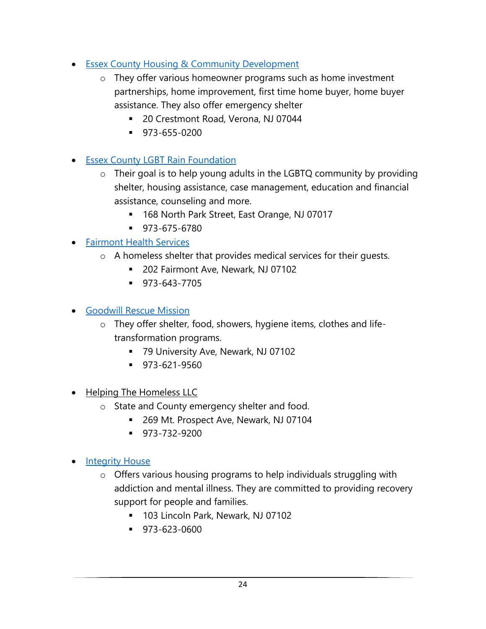- Essex County Housing & Community Development
	- o They offer various homeowner programs such as home investment partnerships, home improvement, first time home buyer, home buyer assistance. They also offer emergency shelter
		- 20 Crestmont Road, Verona, NJ 07044
		- 973-655-0200
- Essex County LGBT Rain Foundation
	- o Their goal is to help young adults in the LGBTQ community by providing shelter, housing assistance, case management, education and financial assistance, counseling and more.
		- 168 North Park Street, East Orange, NJ 07017
		- 973-675-6780

### • Fairmont Health Services

- o A homeless shelter that provides medical services for their guests.
	- 202 Fairmont Ave, Newark, NJ 07102
	- 973-643-7705
- Goodwill Rescue Mission
	- o They offer shelter, food, showers, hygiene items, clothes and lifetransformation programs.
		- 79 University Ave, Newark, NJ 07102
		- 973-621-9560
- Helping The Homeless LLC
	- o State and County emergency shelter and food.
		- 269 Mt. Prospect Ave, Newark, NJ 07104
		- **•** 973-732-9200
- Integrity House
	- o Offers various housing programs to help individuals struggling with addiction and mental illness. They are committed to providing recovery support for people and families.
		- 103 Lincoln Park, Newark, NJ 07102
		- 973-623-0600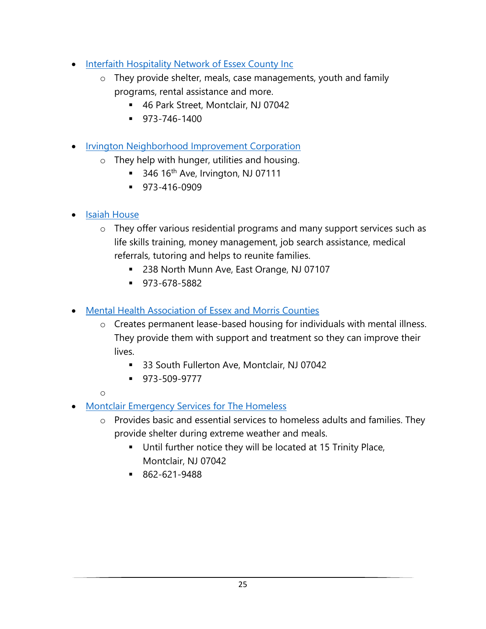- Interfaith Hospitality Network of Essex County Inc
	- o They provide shelter, meals, case managements, youth and family programs, rental assistance and more.
		- 46 Park Street, Montclair, NJ 07042
		- 973-746-1400
- Irvington Neighborhood Improvement Corporation
	- o They help with hunger, utilities and housing.
		- $\blacksquare$  346 16<sup>th</sup> Ave, Irvington, NJ 07111
		- 973-416-0909
- Isaiah House
	- o They offer various residential programs and many support services such as life skills training, money management, job search assistance, medical referrals, tutoring and helps to reunite families.
		- 238 North Munn Ave, East Orange, NJ 07107
		- 973-678-5882
- Mental Health Association of Essex and Morris Counties
	- o Creates permanent lease-based housing for individuals with mental illness. They provide them with support and treatment so they can improve their lives.
		- 33 South Fullerton Ave, Montclair, NJ 07042
		- 973-509-9777

 $\Omega$ 

- Montclair Emergency Services for The Homeless
	- o Provides basic and essential services to homeless adults and families. They provide shelter during extreme weather and meals.
		- Until further notice they will be located at 15 Trinity Place, Montclair, NJ 07042
		- 862-621-9488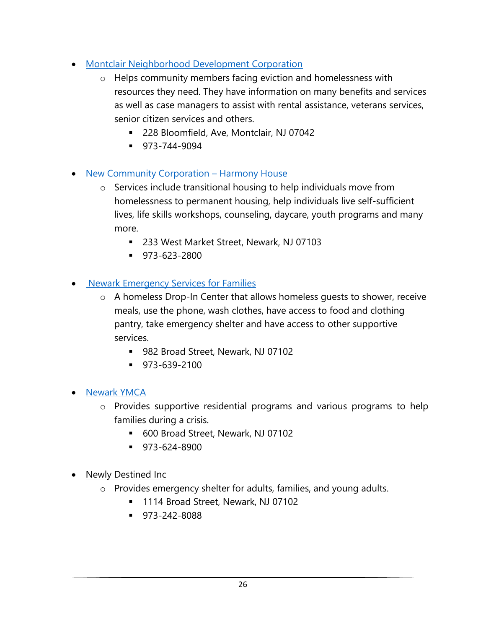- Montclair Neighborhood Development Corporation
	- o Helps community members facing eviction and homelessness with resources they need. They have information on many benefits and services as well as case managers to assist with rental assistance, veterans services, senior citizen services and others.
		- 228 Bloomfield, Ave, Montclair, NJ 07042
		- 973-744-9094

### • New Community Corporation – Harmony House

- o Services include transitional housing to help individuals move from homelessness to permanent housing, help individuals live self-sufficient lives, life skills workshops, counseling, daycare, youth programs and many more.
	- 233 West Market Street, Newark, NJ 07103
	- 973-623-2800

### • Newark Emergency Services for Families

- o A homeless Drop-In Center that allows homeless guests to shower, receive meals, use the phone, wash clothes, have access to food and clothing pantry, take emergency shelter and have access to other supportive services.
	- 982 Broad Street, Newark, NJ 07102
	- 973-639-2100
- Newark YMCA
	- o Provides supportive residential programs and various programs to help families during a crisis.
		- 600 Broad Street, Newark, NJ 07102
		- 973-624-8900
- Newly Destined Inc
	- o Provides emergency shelter for adults, families, and young adults.
		- 1114 Broad Street, Newark, NJ 07102
		- 973-242-8088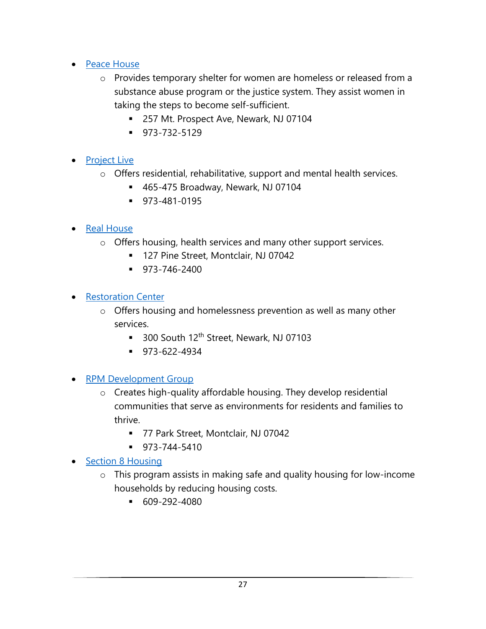- Peace House
	- o Provides temporary shelter for women are homeless or released from a substance abuse program or the justice system. They assist women in taking the steps to become self-sufficient.
		- 257 Mt. Prospect Ave, Newark, NJ 07104
		- 973-732-5129

### • Project Live

- o Offers residential, rehabilitative, support and mental health services.
	- 465-475 Broadway, Newark, NJ 07104
	- 973-481-0195

### • Real House

- o Offers housing, health services and many other support services.
	- 127 Pine Street, Montclair, NJ 07042
	- $973 746 2400$
- Restoration Center
	- o Offers housing and homelessness prevention as well as many other services.
		- 300 South 12<sup>th</sup> Street, Newark, NJ 07103
		- 973-622-4934
- **RPM Development Group** 
	- o Creates high-quality affordable housing. They develop residential communities that serve as environments for residents and families to thrive.
		- 77 Park Street, Montclair, NJ 07042
		- $973 744 5410$
- Section 8 Housing
	- o This program assists in making safe and quality housing for low-income households by reducing housing costs.
		- $-609-292-4080$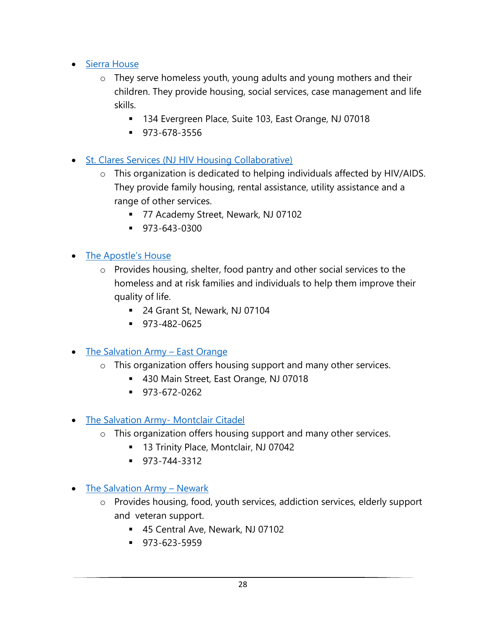- Sierra House
	- o They serve homeless youth, young adults and young mothers and their children. They provide housing, social services, case management and life skills.
		- 134 Evergreen Place, Suite 103, East Orange, NJ 07018
		- 973-678-3556
- St. Clares Services (NJ HIV Housing Collaborative)
	- o This organization is dedicated to helping individuals affected by HIV/AIDS. They provide family housing, rental assistance, utility assistance and a range of other services.
		- 77 Academy Street, Newark, NJ 07102
		- $\bullet$  973-643-0300
- The Apostle's House
	- o Provides housing, shelter, food pantry and other social services to the homeless and at risk families and individuals to help them improve their quality of life.
		- 24 Grant St, Newark, NJ 07104
		- 973-482-0625
- The Salvation Army East Orange
	- o This organization offers housing support and many other services.
		- 430 Main Street, East Orange, NJ 07018
		- 973-672-0262
- The Salvation Army- Montclair Citadel
	- o This organization offers housing support and many other services.
		- 13 Trinity Place, Montclair, NJ 07042
		- 973-744-3312
- The Salvation Army Newark
	- o Provides housing, food, youth services, addiction services, elderly support and veteran support.
		- 45 Central Ave, Newark, NJ 07102
		- 973-623-5959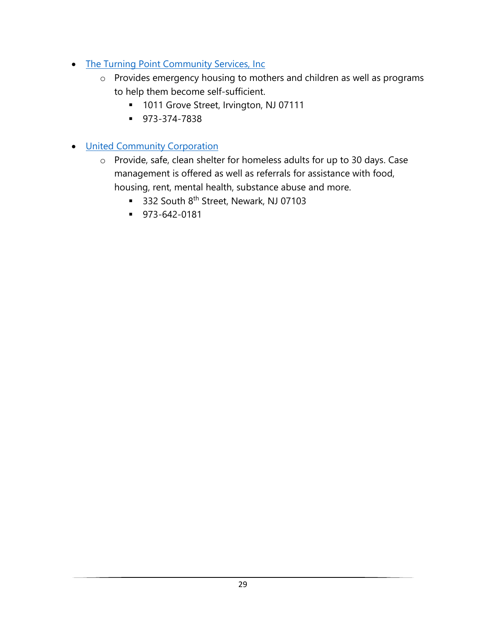- The Turning Point Community Services, Inc.
	- o Provides emergency housing to mothers and children as well as programs to help them become self-sufficient.
		- 1011 Grove Street, Irvington, NJ 07111
		- 973-374-7838
- United Community Corporation
	- o Provide, safe, clean shelter for homeless adults for up to 30 days. Case management is offered as well as referrals for assistance with food, housing, rent, mental health, substance abuse and more.
		- 332 South 8<sup>th</sup> Street, Newark, NJ 07103
		- 973-642-0181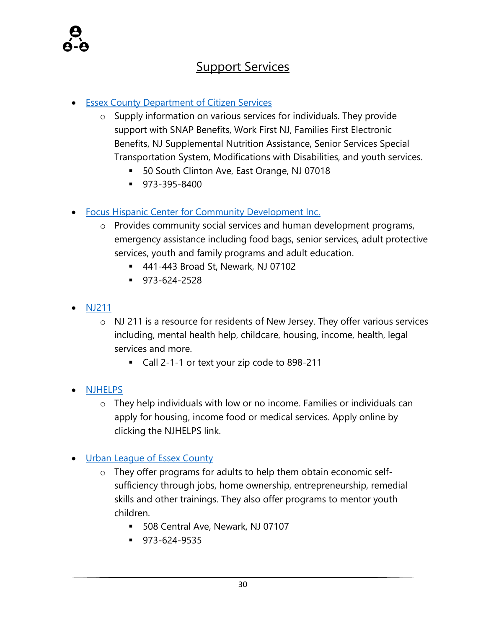

### Support Services

#### **Essex County Department of Citizen Services**

- o Supply information on various services for individuals. They provide support with SNAP Benefits, Work First NJ, Families First Electronic Benefits, NJ Supplemental Nutrition Assistance, Senior Services Special Transportation System, Modifications with Disabilities, and youth services.
	- 50 South Clinton Ave, East Orange, NJ 07018
	- 973-395-8400
- **Focus Hispanic Center for Community Development Inc.** 
	- o Provides community social services and human development programs, emergency assistance including food bags, senior services, adult protective services, youth and family programs and adult education.
		- 441-443 Broad St, Newark, NJ 07102
		- 973-624-2528
- NJ211
	- o NJ 211 is a resource for residents of New Jersey. They offer various services including, mental health help, childcare, housing, income, health, legal services and more.
		- Call 2-1-1 or text your zip code to 898-211
- NJHELPS
	- o They help individuals with low or no income. Families or individuals can apply for housing, income food or medical services. Apply online by clicking the NJHELPS link.
- Urban League of Essex County
	- o They offer programs for adults to help them obtain economic selfsufficiency through jobs, home ownership, entrepreneurship, remedial skills and other trainings. They also offer programs to mentor youth children.
		- 508 Central Ave, Newark, NJ 07107
		- 973-624-9535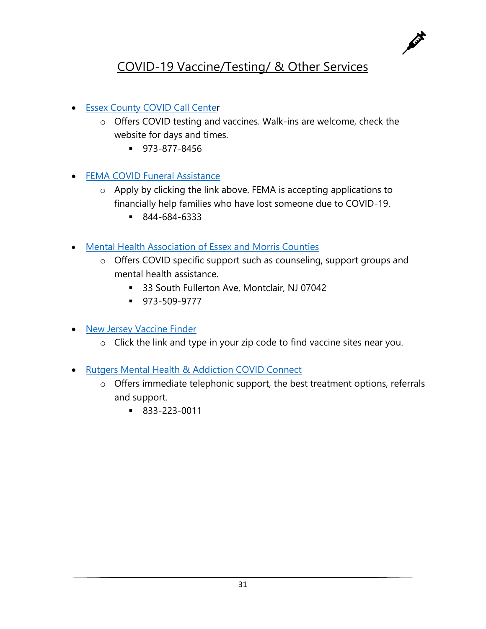

### COVID-19 Vaccine/Testing/ & Other Services

- Essex County COVID Call Center
	- o Offers COVID testing and vaccines. Walk-ins are welcome, check the website for days and times.
		- 973-877-8456
- FEMA COVID Funeral Assistance
	- o Apply by clicking the link above. FEMA is accepting applications to financially help families who have lost someone due to COVID-19.
		- 844-684-6333
- Mental Health Association of Essex and Morris Counties
	- o Offers COVID specific support such as counseling, support groups and mental health assistance.
		- 33 South Fullerton Ave, Montclair, NJ 07042
		- 973-509-9777
- New Jersey Vaccine Finder
	- o Click the link and type in your zip code to find vaccine sites near you.
- Rutgers Mental Health & Addiction COVID Connect
	- o Offers immediate telephonic support, the best treatment options, referrals and support.
		- 833-223-0011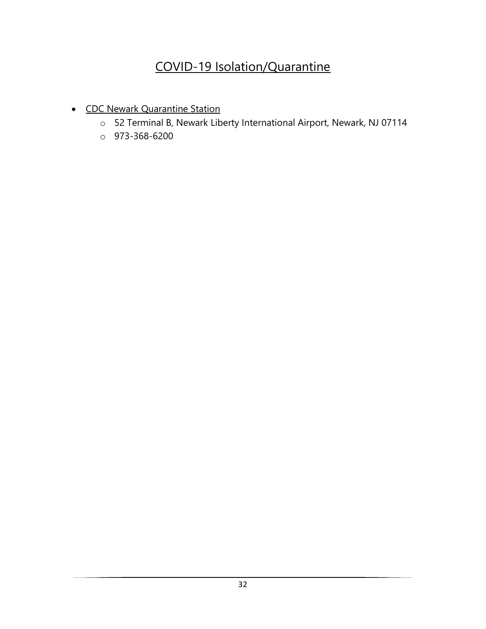### COVID-19 Isolation/Quarantine

- CDC Newark Quarantine Station
	- o 52 Terminal B, Newark Liberty International Airport, Newark, NJ 07114
	- o 973-368-6200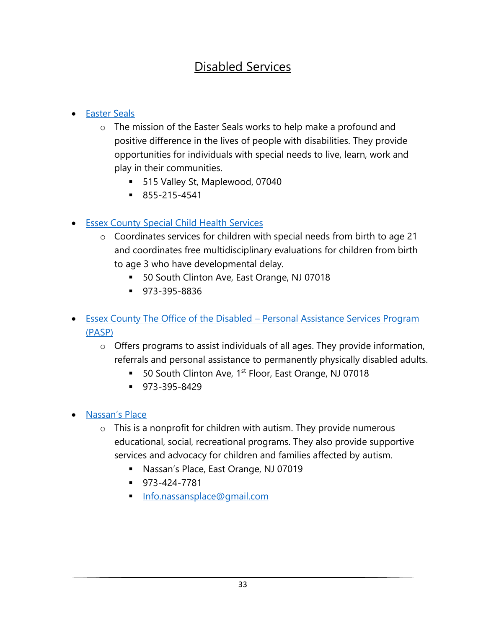### Disabled Services

### • Easter Seals

- o The mission of the Easter Seals works to help make a profound and positive difference in the lives of people with disabilities. They provide opportunities for individuals with special needs to live, learn, work and play in their communities.
	- 515 Valley St, Maplewood, 07040
	- 855-215-4541

### • Essex County Special Child Health Services

- o Coordinates services for children with special needs from birth to age 21 and coordinates free multidisciplinary evaluations for children from birth to age 3 who have developmental delay.
	- 50 South Clinton Ave, East Orange, NJ 07018
	- 973-395-8836
- Essex County The Office of the Disabled Personal Assistance Services Program (PASP)
	- o Offers programs to assist individuals of all ages. They provide information, referrals and personal assistance to permanently physically disabled adults.
		- 50 South Clinton Ave, 1<sup>st</sup> Floor, East Orange, NJ 07018
		- 973-395-8429
- Nassan's Place
	- $\circ$  This is a nonprofit for children with autism. They provide numerous educational, social, recreational programs. They also provide supportive services and advocacy for children and families affected by autism.
		- Nassan's Place, East Orange, NJ 07019
		- 973-424-7781
		- **Info.nassansplace@gmail.com**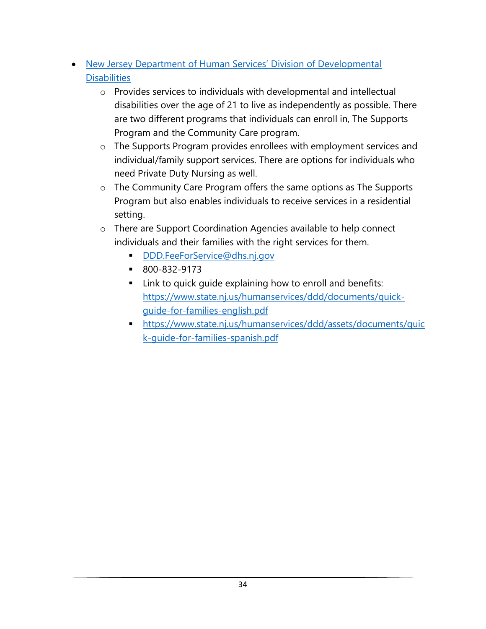- New Jersey Department of Human Services' Division of Developmental **Disabilities** 
	- o Provides services to individuals with developmental and intellectual disabilities over the age of 21 to live as independently as possible. There are two different programs that individuals can enroll in, The Supports Program and the Community Care program.
	- o The Supports Program provides enrollees with employment services and individual/family support services. There are options for individuals who need Private Duty Nursing as well.
	- o The Community Care Program offers the same options as The Supports Program but also enables individuals to receive services in a residential setting.
	- o There are Support Coordination Agencies available to help connect individuals and their families with the right services for them.
		- DDD.FeeForService@dhs.nj.gov
		- 800-832-9173
		- Link to quick quide explaining how to enroll and benefits: https://www.state.nj.us/humanservices/ddd/documents/quickguide-for-families-english.pdf
		- https://www.state.nj.us/humanservices/ddd/assets/documents/quic k-guide-for-families-spanish.pdf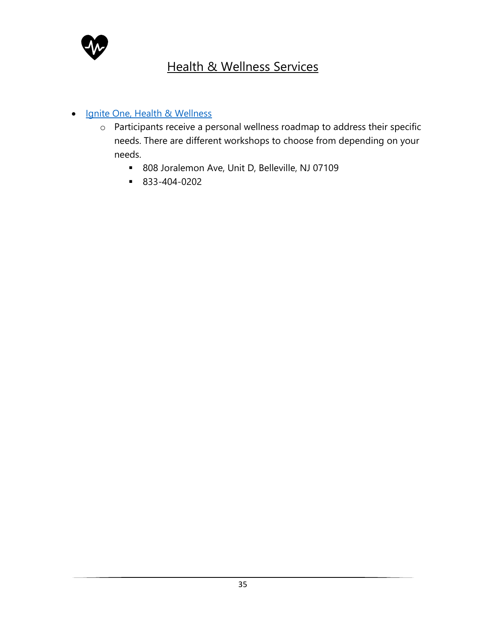

### Health & Wellness Services

#### • Ignite One, Health & Wellness

- o Participants receive a personal wellness roadmap to address their specific needs. There are different workshops to choose from depending on your needs.
	- 808 Joralemon Ave, Unit D, Belleville, NJ 07109
	- 833-404-0202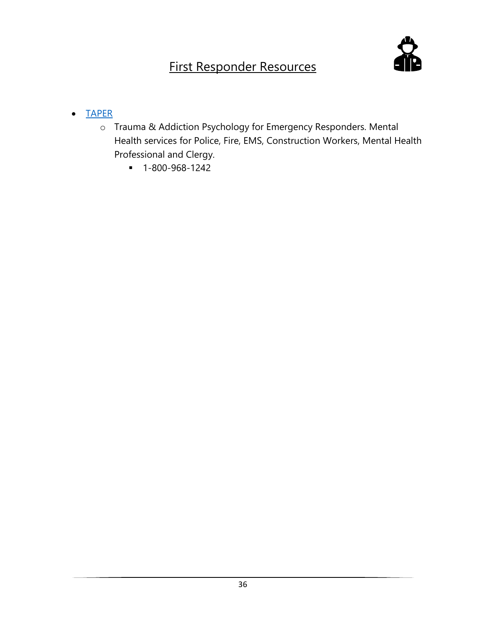# First Responder Resources



#### • TAPER

- o Trauma & Addiction Psychology for Emergency Responders. Mental Health services for Police, Fire, EMS, Construction Workers, Mental Health Professional and Clergy.
	- 1-800-968-1242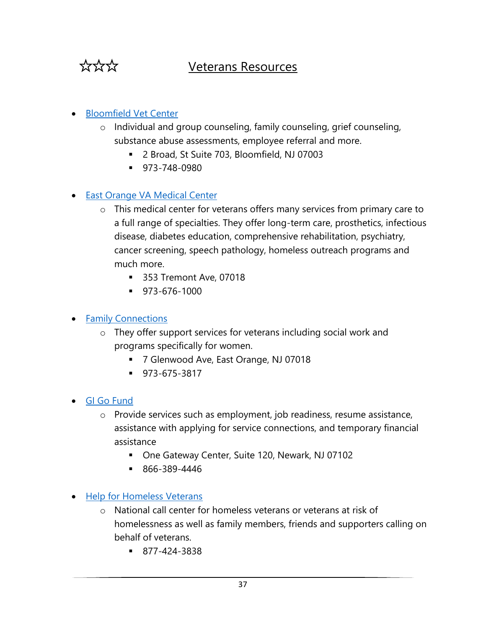

### Veterans Resources

#### • Bloomfield Vet Center

- o Individual and group counseling, family counseling, grief counseling, substance abuse assessments, employee referral and more.
	- 2 Broad, St Suite 703, Bloomfield, NJ 07003
	- 973-748-0980

#### • East Orange VA Medical Center

- o This medical center for veterans offers many services from primary care to a full range of specialties. They offer long-term care, prosthetics, infectious disease, diabetes education, comprehensive rehabilitation, psychiatry, cancer screening, speech pathology, homeless outreach programs and much more.
	- 353 Tremont Ave, 07018
	- 973-676-1000

#### • Family Connections

- o They offer support services for veterans including social work and programs specifically for women.
	- 7 Glenwood Ave, East Orange, NJ 07018
	- 973-675-3817
- GI Go Fund
	- o Provide services such as employment, job readiness, resume assistance, assistance with applying for service connections, and temporary financial assistance
		- One Gateway Center, Suite 120, Newark, NJ 07102
		- 866-389-4446
- Help for Homeless Veterans
	- o National call center for homeless veterans or veterans at risk of homelessness as well as family members, friends and supporters calling on behalf of veterans.
		- 877-424-3838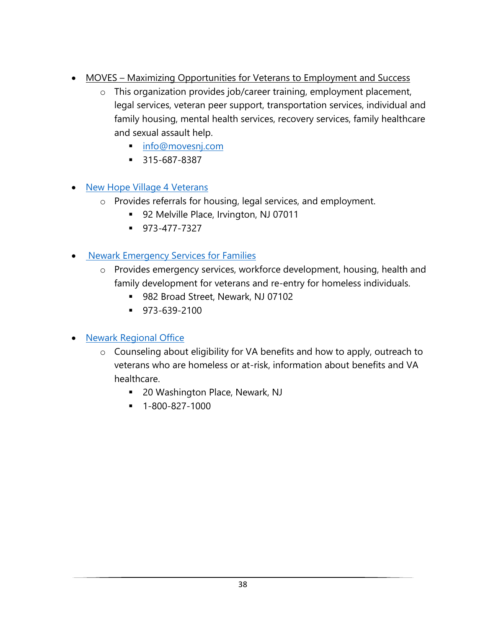- MOVES Maximizing Opportunities for Veterans to Employment and Success
	- o This organization provides job/career training, employment placement, legal services, veteran peer support, transportation services, individual and family housing, mental health services, recovery services, family healthcare and sexual assault help.
		- info@movesnj.com
		- 315-687-8387
- New Hope Village 4 Veterans
	- o Provides referrals for housing, legal services, and employment.
		- 92 Melville Place, Irvington, NJ 07011
		- 973-477-7327
- Newark Emergency Services for Families
	- o Provides emergency services, workforce development, housing, health and family development for veterans and re-entry for homeless individuals.
		- 982 Broad Street, Newark, NJ 07102
		- 973-639-2100
- Newark Regional Office
	- o Counseling about eligibility for VA benefits and how to apply, outreach to veterans who are homeless or at-risk, information about benefits and VA healthcare.
		- 20 Washington Place, Newark, NJ
		- 1-800-827-1000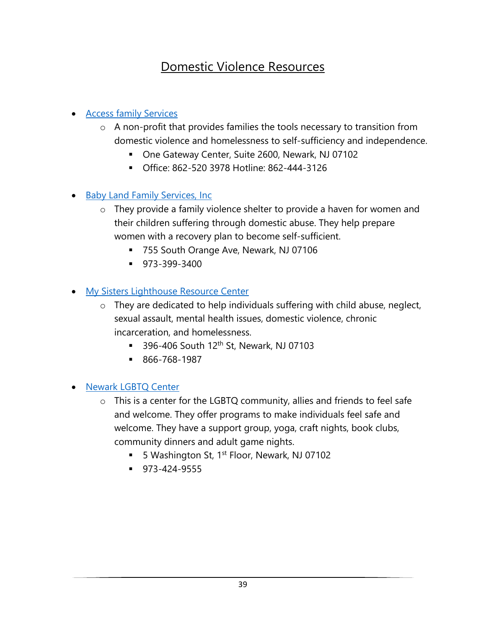### Domestic Violence Resources

#### • Access family Services

- o A non-profit that provides families the tools necessary to transition from domestic violence and homelessness to self-sufficiency and independence.
	- One Gateway Center, Suite 2600, Newark, NJ 07102
	- Office: 862-520 3978 Hotline: 862-444-3126
- Baby Land Family Services, Inc
	- o They provide a family violence shelter to provide a haven for women and their children suffering through domestic abuse. They help prepare women with a recovery plan to become self-sufficient.
		- 755 South Orange Ave, Newark, NJ 07106
		- 973-399-3400

### • My Sisters Lighthouse Resource Center

- o They are dedicated to help individuals suffering with child abuse, neglect, sexual assault, mental health issues, domestic violence, chronic incarceration, and homelessness.
	- 396-406 South  $12<sup>th</sup>$  St, Newark, NJ 07103
	- 866-768-1987

#### • Newark LGBTQ Center

- $\circ$  This is a center for the LGBTQ community, allies and friends to feel safe and welcome. They offer programs to make individuals feel safe and welcome. They have a support group, yoga, craft nights, book clubs, community dinners and adult game nights.
	- 5 Washington St, 1<sup>st</sup> Floor, Newark, NJ 07102
	- 973-424-9555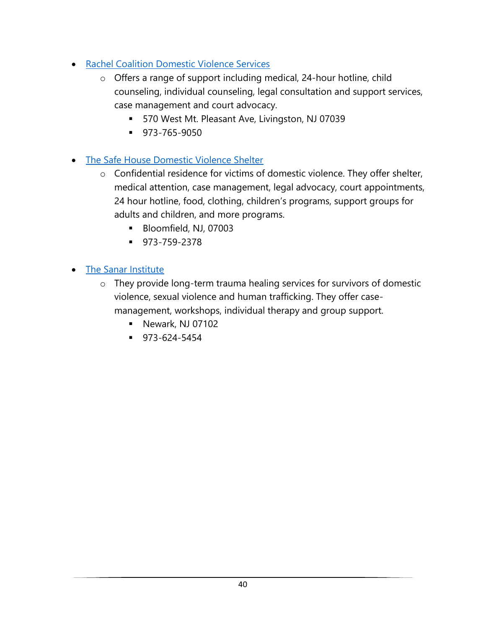- Rachel Coalition Domestic Violence Services
	- o Offers a range of support including medical, 24-hour hotline, child counseling, individual counseling, legal consultation and support services, case management and court advocacy.
		- 570 West Mt. Pleasant Ave, Livingston, NJ 07039
		- 973-765-9050
- The Safe House Domestic Violence Shelter
	- o Confidential residence for victims of domestic violence. They offer shelter, medical attention, case management, legal advocacy, court appointments, 24 hour hotline, food, clothing, children's programs, support groups for adults and children, and more programs.
		- Bloomfield, NJ, 07003
		- 973-759-2378
- The Sanar Institute
	- o They provide long-term trauma healing services for survivors of domestic violence, sexual violence and human trafficking. They offer casemanagement, workshops, individual therapy and group support.
		- Newark, NJ 07102
		- 973-624-5454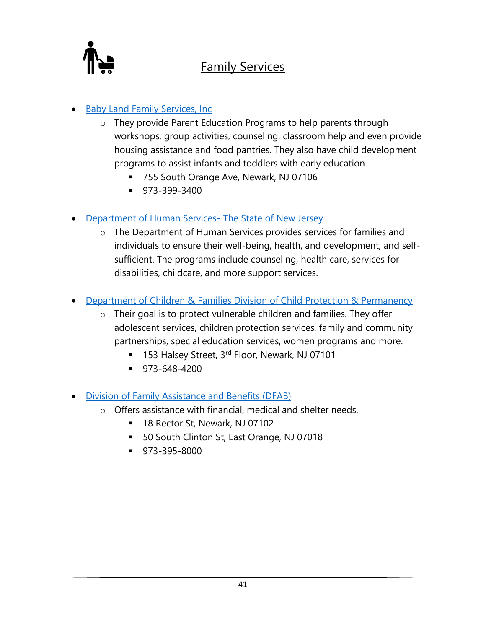

### Family Services

### **Baby Land Family Services, Inc.**

- o They provide Parent Education Programs to help parents through workshops, group activities, counseling, classroom help and even provide housing assistance and food pantries. They also have child development programs to assist infants and toddlers with early education.
	- 755 South Orange Ave, Newark, NJ 07106
	- $\blacksquare$  973-399-3400
- Department of Human Services- The State of New Jersey
	- o The Department of Human Services provides services for families and individuals to ensure their well-being, health, and development, and selfsufficient. The programs include counseling, health care, services for disabilities, childcare, and more support services.
- Department of Children & Families Division of Child Protection & Permanency
	- o Their goal is to protect vulnerable children and families. They offer adolescent services, children protection services, family and community partnerships, special education services, women programs and more.
		- 153 Halsey Street, 3rd Floor, Newark, NJ 07101
		- 973-648-4200
- Division of Family Assistance and Benefits (DFAB)
	- o Offers assistance with financial, medical and shelter needs.
		- 18 Rector St, Newark, NJ 07102
		- 50 South Clinton St, East Orange, NJ 07018
		- 973-395-8000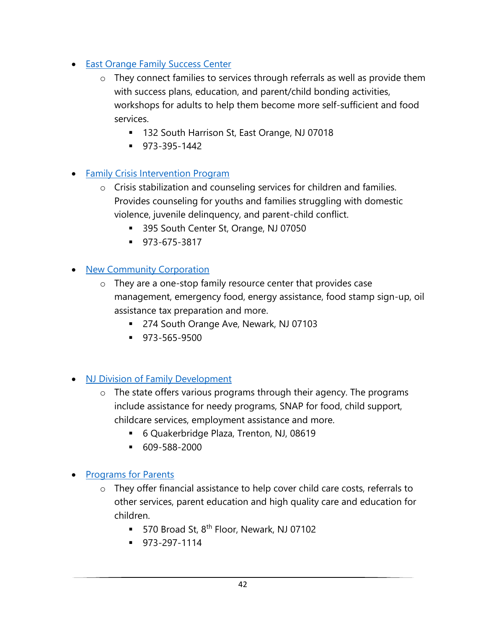- East Orange Family Success Center
	- o They connect families to services through referrals as well as provide them with success plans, education, and parent/child bonding activities, workshops for adults to help them become more self-sufficient and food services.
		- 132 South Harrison St, East Orange, NJ 07018
		- 973-395-1442

### • Family Crisis Intervention Program

- o Crisis stabilization and counseling services for children and families. Provides counseling for youths and families struggling with domestic violence, juvenile delinquency, and parent-child conflict.
	- 395 South Center St, Orange, NJ 07050
	- 973-675-3817

#### • New Community Corporation

- o They are a one-stop family resource center that provides case management, emergency food, energy assistance, food stamp sign-up, oil assistance tax preparation and more.
	- 274 South Orange Ave, Newark, NJ 07103
	- 973-565-9500

#### **NJ Division of Family Development**

- o The state offers various programs through their agency. The programs include assistance for needy programs, SNAP for food, child support, childcare services, employment assistance and more.
	- 6 Quakerbridge Plaza, Trenton, NJ, 08619
	- 609-588-2000

### • Programs for Parents

- o They offer financial assistance to help cover child care costs, referrals to other services, parent education and high quality care and education for children.
	- 570 Broad St, 8<sup>th</sup> Floor, Newark, NJ 07102
	- 973-297-1114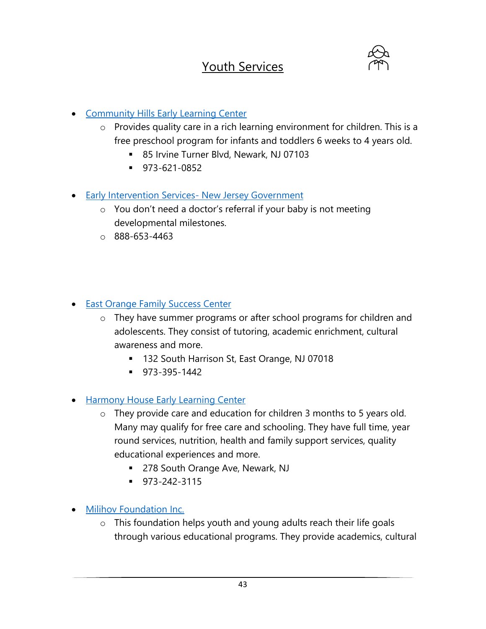### Youth Services



- Community Hills Early Learning Center
	- o Provides quality care in a rich learning environment for children. This is a free preschool program for infants and toddlers 6 weeks to 4 years old.
		- 85 Irvine Turner Blvd, Newark, NJ 07103
		- 973-621-0852
- Early Intervention Services- New Jersey Government
	- o You don't need a doctor's referral if your baby is not meeting developmental milestones.
	- o 888-653-4463
- East Orange Family Success Center
	- o They have summer programs or after school programs for children and adolescents. They consist of tutoring, academic enrichment, cultural awareness and more.
		- 132 South Harrison St, East Orange, NJ 07018
		- 973-395-1442
- Harmony House Early Learning Center
	- o They provide care and education for children 3 months to 5 years old. Many may qualify for free care and schooling. They have full time, year round services, nutrition, health and family support services, quality educational experiences and more.
		- 278 South Orange Ave, Newark, NJ
		- 973-242-3115
- Milihov Foundation Inc.
	- o This foundation helps youth and young adults reach their life goals through various educational programs. They provide academics, cultural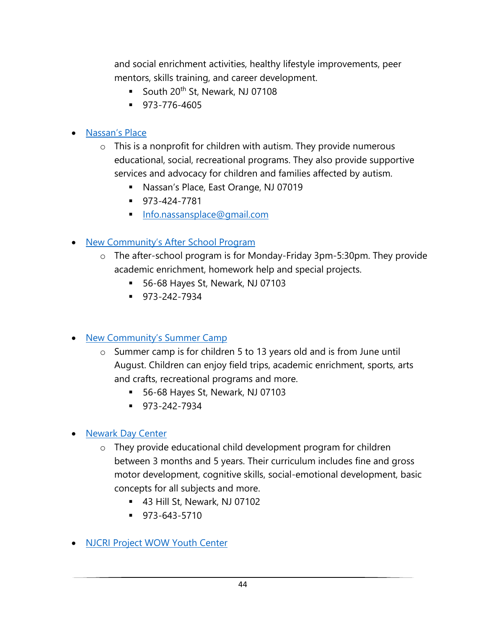and social enrichment activities, healthy lifestyle improvements, peer mentors, skills training, and career development.

- South 20<sup>th</sup> St, Newark, NJ 07108
- 973-776-4605

### • Nassan's Place

- $\circ$  This is a nonprofit for children with autism. They provide numerous educational, social, recreational programs. They also provide supportive services and advocacy for children and families affected by autism.
	- Nassan's Place, East Orange, NJ 07019
	- 973-424-7781
	- Info.nassansplace@gmail.com

### • New Community's After School Program

- o The after-school program is for Monday-Friday 3pm-5:30pm. They provide academic enrichment, homework help and special projects.
	- 56-68 Hayes St, Newark, NJ 07103
	- 973-242-7934
- New Community's Summer Camp
	- o Summer camp is for children 5 to 13 years old and is from June until August. Children can enjoy field trips, academic enrichment, sports, arts and crafts, recreational programs and more.
		- 56-68 Hayes St, Newark, NJ 07103
		- 973-242-7934
- Newark Day Center
	- o They provide educational child development program for children between 3 months and 5 years. Their curriculum includes fine and gross motor development, cognitive skills, social-emotional development, basic concepts for all subjects and more.
		- 43 Hill St, Newark, NJ 07102
		- 973-643-5710
- NJCRI Project WOW Youth Center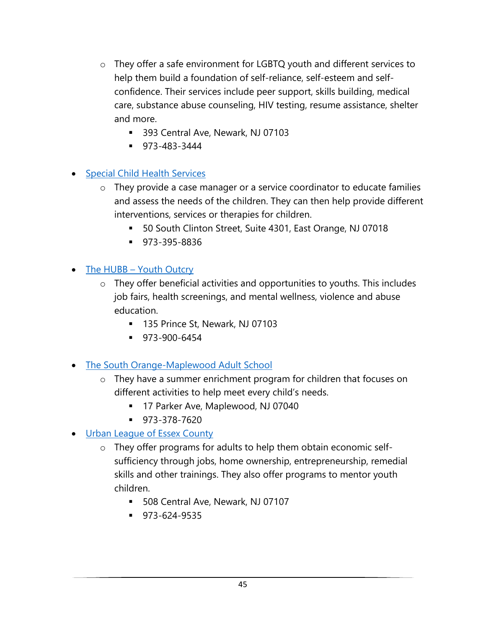- o They offer a safe environment for LGBTQ youth and different services to help them build a foundation of self-reliance, self-esteem and selfconfidence. Their services include peer support, skills building, medical care, substance abuse counseling, HIV testing, resume assistance, shelter and more.
	- 393 Central Ave, Newark, NJ 07103
	- 973-483-3444

### • Special Child Health Services

- o They provide a case manager or a service coordinator to educate families and assess the needs of the children. They can then help provide different interventions, services or therapies for children.
	- 50 South Clinton Street, Suite 4301, East Orange, NJ 07018
	- 973-395-8836

### • The HUBB – Youth Outcry

- o They offer beneficial activities and opportunities to youths. This includes job fairs, health screenings, and mental wellness, violence and abuse education.
	- 135 Prince St, Newark, NJ 07103
	- 973-900-6454
- The South Orange-Maplewood Adult School
	- o They have a summer enrichment program for children that focuses on different activities to help meet every child's needs.
		- 17 Parker Ave, Maplewood, NJ 07040
		- $973-378-7620$
- Urban League of Essex County
	- o They offer programs for adults to help them obtain economic selfsufficiency through jobs, home ownership, entrepreneurship, remedial skills and other trainings. They also offer programs to mentor youth children.
		- 508 Central Ave, Newark, NJ 07107
		- 973-624-9535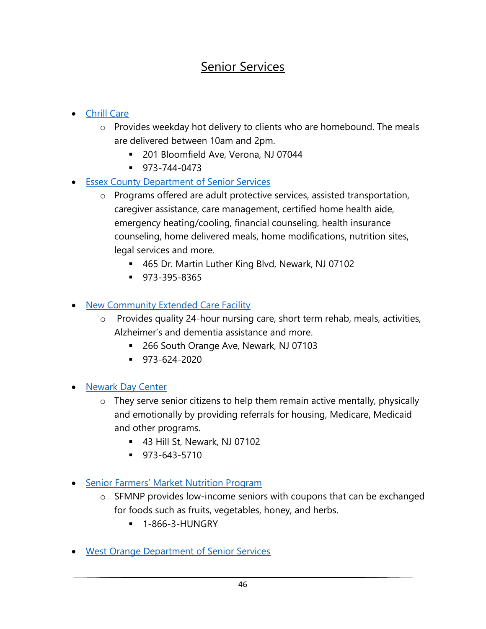### Senior Services

- Chrill Care
	- o Provides weekday hot delivery to clients who are homebound. The meals are delivered between 10am and 2pm.
		- 201 Bloomfield Ave, Verona, NJ 07044
		- 973-744-0473
- Essex County Department of Senior Services
	- o Programs offered are adult protective services, assisted transportation, caregiver assistance, care management, certified home health aide, emergency heating/cooling, financial counseling, health insurance counseling, home delivered meals, home modifications, nutrition sites, legal services and more.
		- 465 Dr. Martin Luther King Blvd, Newark, NJ 07102
		- 973-395-8365

• New Community Extended Care Facility

- o Provides quality 24-hour nursing care, short term rehab, meals, activities, Alzheimer's and dementia assistance and more.
	- 266 South Orange Ave, Newark, NJ 07103
	- $973-624-2020$
- Newark Day Center
	- o They serve senior citizens to help them remain active mentally, physically and emotionally by providing referrals for housing, Medicare, Medicaid and other programs.
		- 43 Hill St, Newark, NJ 07102
		- $973-643-5710$
- Senior Farmers' Market Nutrition Program
	- o SFMNP provides low-income seniors with coupons that can be exchanged for foods such as fruits, vegetables, honey, and herbs.
		- **1-866-3-HUNGRY**
- West Orange Department of Senior Services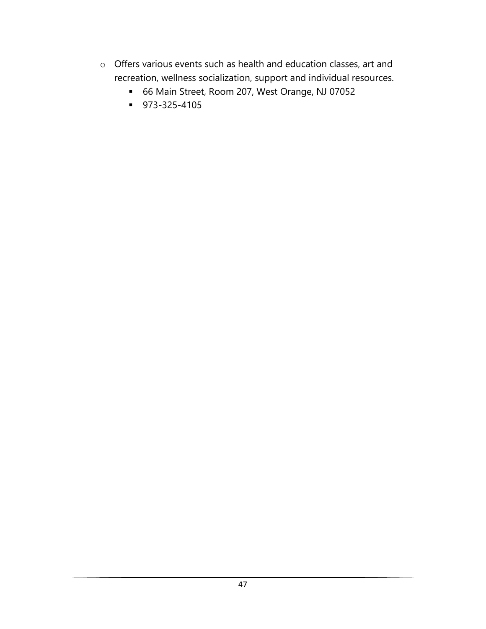- o Offers various events such as health and education classes, art and recreation, wellness socialization, support and individual resources.
	- 66 Main Street, Room 207, West Orange, NJ 07052
	- 973-325-4105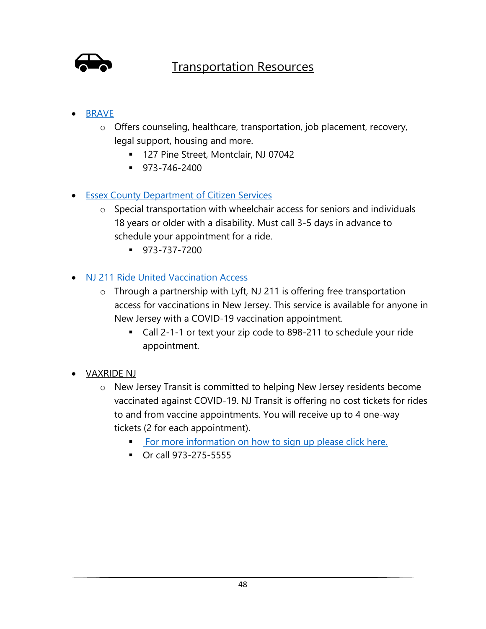

### Transportation Resources

- BRAVE
	- o Offers counseling, healthcare, transportation, job placement, recovery, legal support, housing and more.
		- 127 Pine Street, Montclair, NJ 07042
		- 973-746-2400
- Essex County Department of Citizen Services
	- o Special transportation with wheelchair access for seniors and individuals 18 years or older with a disability. Must call 3-5 days in advance to schedule your appointment for a ride.
		- 973-737-7200
- NJ 211 Ride United Vaccination Access
	- o Through a partnership with Lyft, NJ 211 is offering free transportation access for vaccinations in New Jersey. This service is available for anyone in New Jersey with a COVID-19 vaccination appointment.
		- Call 2-1-1 or text your zip code to 898-211 to schedule your ride appointment.
- VAXRIDE NJ
	- o New Jersey Transit is committed to helping New Jersey residents become vaccinated against COVID-19. NJ Transit is offering no cost tickets for rides to and from vaccine appointments. You will receive up to 4 one-way tickets (2 for each appointment).
		- **EXECT:** For more information on how to sign up please click here.
		- Or call 973-275-5555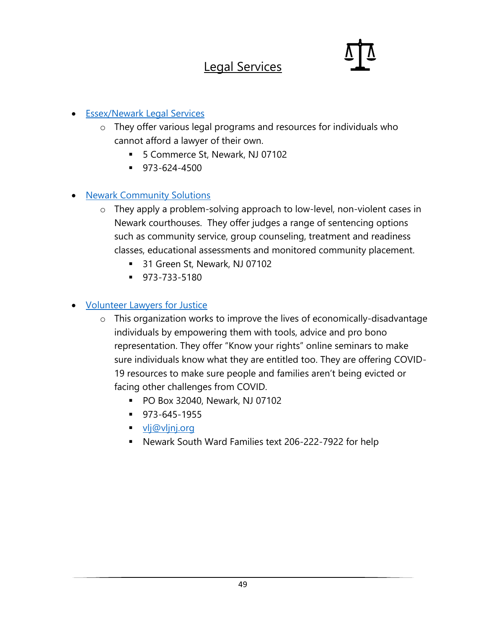### Legal Services

#### • Essex/Newark Legal Services

- o They offer various legal programs and resources for individuals who cannot afford a lawyer of their own.
	- 5 Commerce St, Newark, NJ 07102
	- 973-624-4500

### • Newark Community Solutions

- o They apply a problem-solving approach to low-level, non-violent cases in Newark courthouses. They offer judges a range of sentencing options such as community service, group counseling, treatment and readiness classes, educational assessments and monitored community placement.
	- 31 Green St, Newark, NJ 07102
	- 973-733-5180

### • **Volunteer Lawyers for Justice**

- o This organization works to improve the lives of economically-disadvantage individuals by empowering them with tools, advice and pro bono representation. They offer "Know your rights" online seminars to make sure individuals know what they are entitled too. They are offering COVID-19 resources to make sure people and families aren't being evicted or facing other challenges from COVID.
	- PO Box 32040, Newark, NJ 07102
	- 973-645-1955
	- vlj@vljnj.org
	- Newark South Ward Families text 206-222-7922 for help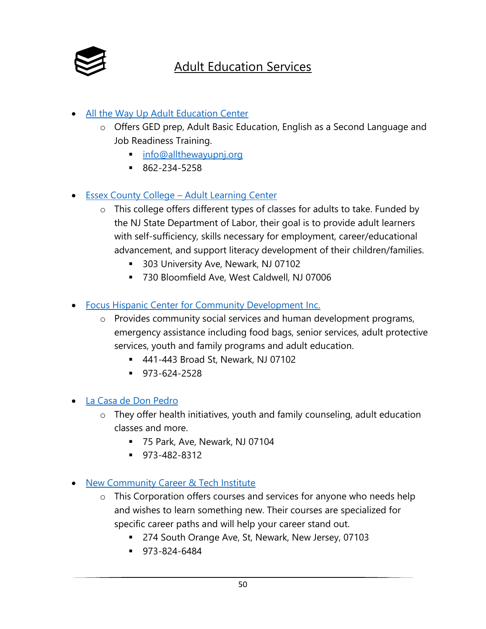

### Adult Education Services

- All the Way Up Adult Education Center
	- o Offers GED prep, Adult Basic Education, English as a Second Language and Job Readiness Training.
		- info@allthewayupnj.org
		- 862-234-5258
- Essex County College Adult Learning Center
	- o This college offers different types of classes for adults to take. Funded by the NJ State Department of Labor, their goal is to provide adult learners with self-sufficiency, skills necessary for employment, career/educational advancement, and support literacy development of their children/families.
		- 303 University Ave, Newark, NJ 07102
		- 730 Bloomfield Ave, West Caldwell, NJ 07006
- Focus Hispanic Center for Community Development Inc.
	- o Provides community social services and human development programs, emergency assistance including food bags, senior services, adult protective services, youth and family programs and adult education.
		- 441-443 Broad St, Newark, NJ 07102
		- 973-624-2528
- La Casa de Don Pedro
	- o They offer health initiatives, youth and family counseling, adult education classes and more.
		- 75 Park, Ave, Newark, NJ 07104
		- 973-482-8312
- New Community Career & Tech Institute
	- o This Corporation offers courses and services for anyone who needs help and wishes to learn something new. Their courses are specialized for specific career paths and will help your career stand out.
		- 274 South Orange Ave, St, Newark, New Jersey, 07103
		- 973-824-6484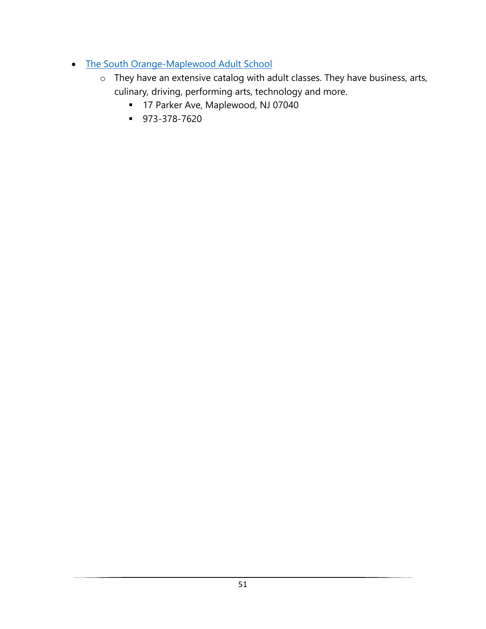- The South Orange-Maplewood Adult School
	- o They have an extensive catalog with adult classes. They have business, arts, culinary, driving, performing arts, technology and more.
		- 17 Parker Ave, Maplewood, NJ 07040
		- 973-378-7620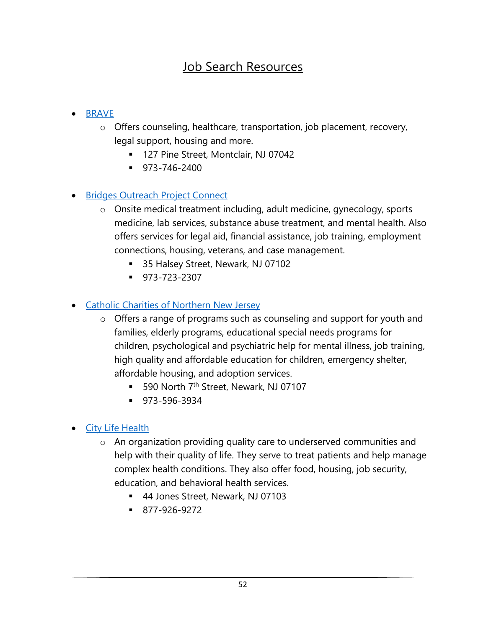### Job Search Resources

### • BRAVE

- o Offers counseling, healthcare, transportation, job placement, recovery, legal support, housing and more.
	- 127 Pine Street, Montclair, NJ 07042
	- 973-746-2400

### • Bridges Outreach Project Connect

- o Onsite medical treatment including, adult medicine, gynecology, sports medicine, lab services, substance abuse treatment, and mental health. Also offers services for legal aid, financial assistance, job training, employment connections, housing, veterans, and case management.
	- 35 Halsey Street, Newark, NJ 07102
	- 973-723-2307

### • Catholic Charities of Northern New Jersey

- o Offers a range of programs such as counseling and support for youth and families, elderly programs, educational special needs programs for children, psychological and psychiatric help for mental illness, job training, high quality and affordable education for children, emergency shelter, affordable housing, and adoption services.
	- 590 North 7<sup>th</sup> Street, Newark, NJ 07107
	- 973-596-3934

### • City Life Health

- o An organization providing quality care to underserved communities and help with their quality of life. They serve to treat patients and help manage complex health conditions. They also offer food, housing, job security, education, and behavioral health services.
	- 44 Jones Street, Newark, NJ 07103
	- 877-926-9272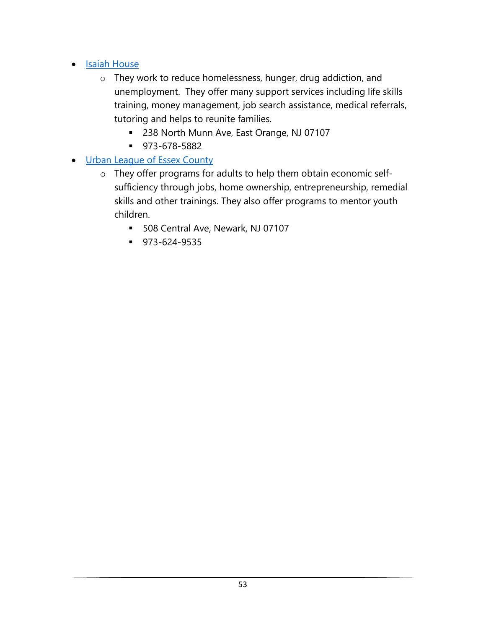- Isaiah House
	- o They work to reduce homelessness, hunger, drug addiction, and unemployment. They offer many support services including life skills training, money management, job search assistance, medical referrals, tutoring and helps to reunite families.
		- 238 North Munn Ave, East Orange, NJ 07107
		- 973-678-5882
- Urban League of Essex County
	- o They offer programs for adults to help them obtain economic selfsufficiency through jobs, home ownership, entrepreneurship, remedial skills and other trainings. They also offer programs to mentor youth children.
		- 508 Central Ave, Newark, NJ 07107
		- 973-624-9535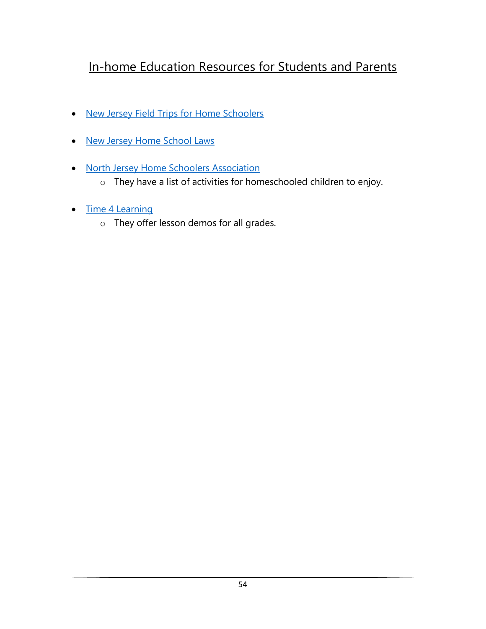### In-home Education Resources for Students and Parents

- New Jersey Field Trips for Home Schoolers
- New Jersey Home School Laws
- North Jersey Home Schoolers Association
	- o They have a list of activities for homeschooled children to enjoy.
- Time 4 Learning
	- o They offer lesson demos for all grades.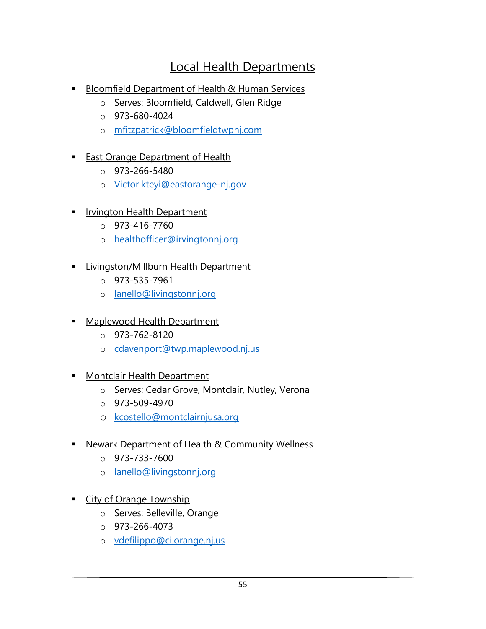### Local Health Departments

- Bloomfield Department of Health & Human Services
	- o Serves: Bloomfield, Caldwell, Glen Ridge
	- o 973-680-4024
	- o mfitzpatrick@bloomfieldtwpnj.com
- East Orange Department of Health
	- $O$  973-266-5480
	- o Victor.kteyi@eastorange-nj.gov
- **Irvington Health Department** 
	- $O$  973-416-7760
	- o healthofficer@irvingtonnj.org
- **·** Livingston/Millburn Health Department
	- $O$  973-535-7961
	- o lanello@livingstonnj.org
- Maplewood Health Department
	- $O$  973-762-8120
	- o cdavenport@twp.maplewood.nj.us
- **E** Montclair Health Department
	- o Serves: Cedar Grove, Montclair, Nutley, Verona
	- $O$  973-509-4970
	- o kcostello@montclairnjusa.org
- **E** Newark Department of Health & Community Wellness
	- $O$  973-733-7600
	- o lanello@livingstonnj.org
- **Example Township** 
	- o Serves: Belleville, Orange
	- $O$  973-266-4073
	- o vdefilippo@ci.orange.nj.us